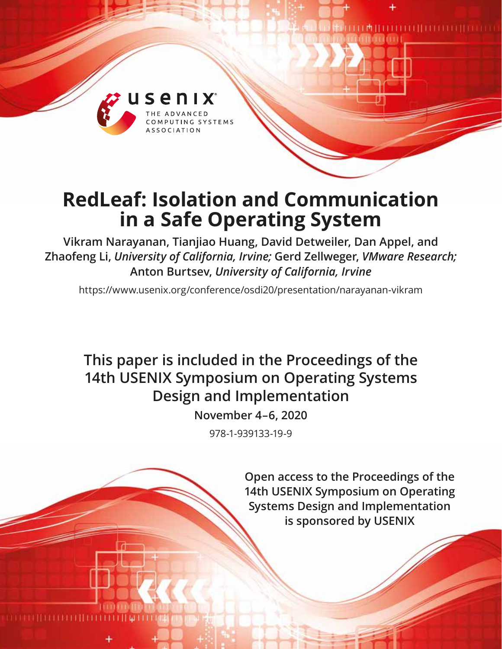

# **RedLeaf: Isolation and Communication in a Safe Operating System**

**Vikram Narayanan, Tianjiao Huang, David Detweiler, Dan Appel, and Zhaofeng Li,** *University of California, Irvine;* **Gerd Zellweger,** *VMware Research;*  **Anton Burtsev,** *University of California, Irvine*

https://www.usenix.org/conference/osdi20/presentation/narayanan-vikram

## **This paper is included in the Proceedings of the 14th USENIX Symposium on Operating Systems Design and Implementation**

**November 4–6, 2020**

978-1-939133-19-9

**Open access to the Proceedings of the 14th USENIX Symposium on Operating Systems Design and Implementation is sponsored by USENIX**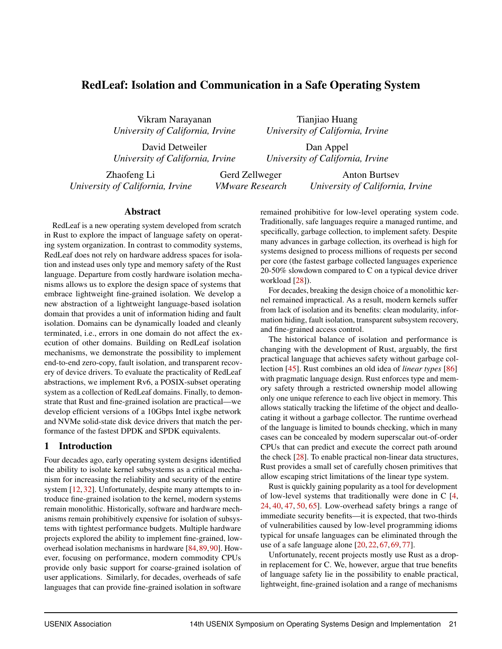## RedLeaf: Isolation and Communication in a Safe Operating System

Vikram Narayanan *University of California, Irvine*

*University of California, Irvine*

David Detweiler *University of California, Irvine*

Dan Appel *University of California, Irvine*

Tianjiao Huang

Zhaofeng Li *University of California, Irvine*

Gerd Zellweger *VMware Research*

Anton Burtsev *University of California, Irvine*

#### Abstract

RedLeaf is a new operating system developed from scratch in Rust to explore the impact of language safety on operating system organization. In contrast to commodity systems, RedLeaf does not rely on hardware address spaces for isolation and instead uses only type and memory safety of the Rust language. Departure from costly hardware isolation mechanisms allows us to explore the design space of systems that embrace lightweight fine-grained isolation. We develop a new abstraction of a lightweight language-based isolation domain that provides a unit of information hiding and fault isolation. Domains can be dynamically loaded and cleanly terminated, i.e., errors in one domain do not affect the execution of other domains. Building on RedLeaf isolation mechanisms, we demonstrate the possibility to implement end-to-end zero-copy, fault isolation, and transparent recovery of device drivers. To evaluate the practicality of RedLeaf abstractions, we implement Rv6, a POSIX-subset operating system as a collection of RedLeaf domains. Finally, to demonstrate that Rust and fine-grained isolation are practical—we develop efficient versions of a 10Gbps Intel ixgbe network and NVMe solid-state disk device drivers that match the performance of the fastest DPDK and SPDK equivalents.

#### 1 Introduction

Four decades ago, early operating system designs identified the ability to isolate kernel subsystems as a critical mechanism for increasing the reliability and security of the entire system [\[12,](#page-15-0) [32\]](#page-16-0). Unfortunately, despite many attempts to introduce fine-grained isolation to the kernel, modern systems remain monolithic. Historically, software and hardware mechanisms remain prohibitively expensive for isolation of subsystems with tightest performance budgets. Multiple hardware projects explored the ability to implement fine-grained, lowoverhead isolation mechanisms in hardware [\[84,](#page-18-0)[89,](#page-19-0)[90\]](#page-19-1). However, focusing on performance, modern commodity CPUs provide only basic support for coarse-grained isolation of user applications. Similarly, for decades, overheads of safe languages that can provide fine-grained isolation in software

remained prohibitive for low-level operating system code. Traditionally, safe languages require a managed runtime, and specifically, garbage collection, to implement safety. Despite many advances in garbage collection, its overhead is high for systems designed to process millions of requests per second per core (the fastest garbage collected languages experience 20-50% slowdown compared to C on a typical device driver workload [\[28\]](#page-16-1)).

For decades, breaking the design choice of a monolithic kernel remained impractical. As a result, modern kernels suffer from lack of isolation and its benefits: clean modularity, information hiding, fault isolation, transparent subsystem recovery, and fine-grained access control.

The historical balance of isolation and performance is changing with the development of Rust, arguably, the first practical language that achieves safety without garbage collection [\[45\]](#page-17-0). Rust combines an old idea of *linear types* [\[86\]](#page-19-2) with pragmatic language design. Rust enforces type and memory safety through a restricted ownership model allowing only one unique reference to each live object in memory. This allows statically tracking the lifetime of the object and deallocating it without a garbage collector. The runtime overhead of the language is limited to bounds checking, which in many cases can be concealed by modern superscalar out-of-order CPUs that can predict and execute the correct path around the check [\[28\]](#page-16-1). To enable practical non-linear data structures, Rust provides a small set of carefully chosen primitives that allow escaping strict limitations of the linear type system.

Rust is quickly gaining popularity as a tool for development of low-level systems that traditionally were done in C [\[4,](#page-15-1) [24,](#page-16-2) [40,](#page-16-3) [47,](#page-17-1) [50,](#page-17-2) [65\]](#page-18-1). Low-overhead safety brings a range of immediate security benefits—it is expected, that two-thirds of vulnerabilities caused by low-level programming idioms typical for unsafe languages can be eliminated through the use of a safe language alone [\[20,](#page-15-2) [22,](#page-15-3) [67,](#page-18-2) [69,](#page-18-3) [77\]](#page-18-4).

Unfortunately, recent projects mostly use Rust as a dropin replacement for C. We, however, argue that true benefits of language safety lie in the possibility to enable practical, lightweight, fine-grained isolation and a range of mechanisms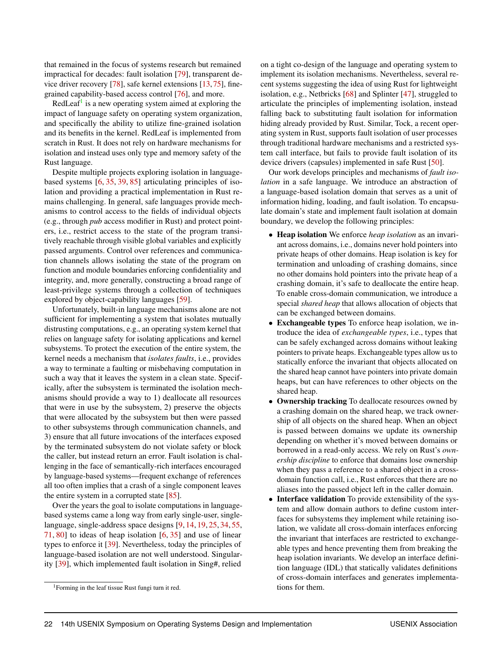that remained in the focus of systems research but remained impractical for decades: fault isolation [\[79\]](#page-18-5), transparent device driver recovery [\[78\]](#page-18-6), safe kernel extensions [\[13,](#page-15-4)[75\]](#page-18-7), finegrained capability-based access control [\[76\]](#page-18-8), and more.

RedLeaf<sup>[1](#page-2-0)</sup> is a new operating system aimed at exploring the impact of language safety on operating system organization, and specifically the ability to utilize fine-grained isolation and its benefits in the kernel. RedLeaf is implemented from scratch in Rust. It does not rely on hardware mechanisms for isolation and instead uses only type and memory safety of the Rust language.

Despite multiple projects exploring isolation in languagebased systems [\[6,](#page-15-5) [35,](#page-16-4) [39,](#page-16-5) [85\]](#page-18-9) articulating principles of isolation and providing a practical implementation in Rust remains challenging. In general, safe languages provide mechanisms to control access to the fields of individual objects (e.g., through *pub* access modifier in Rust) and protect pointers, i.e., restrict access to the state of the program transitively reachable through visible global variables and explicitly passed arguments. Control over references and communication channels allows isolating the state of the program on function and module boundaries enforcing confidentiality and integrity, and, more generally, constructing a broad range of least-privilege systems through a collection of techniques explored by object-capability languages [\[59\]](#page-17-3).

Unfortunately, built-in language mechanisms alone are not sufficient for implementing a system that isolates mutually distrusting computations, e.g., an operating system kernel that relies on language safety for isolating applications and kernel subsystems. To protect the execution of the entire system, the kernel needs a mechanism that *isolates faults*, i.e., provides a way to terminate a faulting or misbehaving computation in such a way that it leaves the system in a clean state. Specifically, after the subsystem is terminated the isolation mechanisms should provide a way to 1) deallocate all resources that were in use by the subsystem, 2) preserve the objects that were allocated by the subsystem but then were passed to other subsystems through communication channels, and 3) ensure that all future invocations of the interfaces exposed by the terminated subsystem do not violate safety or block the caller, but instead return an error. Fault isolation is challenging in the face of semantically-rich interfaces encouraged by language-based systems—frequent exchange of references all too often implies that a crash of a single component leaves the entire system in a corrupted state [\[85\]](#page-18-9).

Over the years the goal to isolate computations in languagebased systems came a long way from early single-user, singlelanguage, single-address space designs [\[9,](#page-15-6) [14,](#page-15-7) [19,](#page-15-8) [25,](#page-16-6) [34,](#page-16-7) [55,](#page-17-4) [71,](#page-18-10) [80\]](#page-18-11) to ideas of heap isolation  $[6, 35]$  $[6, 35]$  $[6, 35]$  and use of linear types to enforce it [\[39\]](#page-16-5). Nevertheless, today the principles of language-based isolation are not well understood. Singularity [\[39\]](#page-16-5), which implemented fault isolation in Sing#, relied

on a tight co-design of the language and operating system to implement its isolation mechanisms. Nevertheless, several recent systems suggesting the idea of using Rust for lightweight isolation, e.g., Netbricks [\[68\]](#page-18-12) and Splinter [\[47\]](#page-17-1), struggled to articulate the principles of implementing isolation, instead falling back to substituting fault isolation for information hiding already provided by Rust. Similar, Tock, a recent operating system in Rust, supports fault isolation of user processes through traditional hardware mechanisms and a restricted system call interface, but fails to provide fault isolation of its device drivers (capsules) implemented in safe Rust [\[50\]](#page-17-2).

Our work develops principles and mechanisms of *fault isolation* in a safe language. We introduce an abstraction of a language-based isolation domain that serves as a unit of information hiding, loading, and fault isolation. To encapsulate domain's state and implement fault isolation at domain boundary, we develop the following principles:

- Heap isolation We enforce *heap isolation* as an invariant across domains, i.e., domains never hold pointers into private heaps of other domains. Heap isolation is key for termination and unloading of crashing domains, since no other domains hold pointers into the private heap of a crashing domain, it's safe to deallocate the entire heap. To enable cross-domain communication, we introduce a special *shared heap* that allows allocation of objects that can be exchanged between domains.
- Exchangeable types To enforce heap isolation, we introduce the idea of *exchangeable types*, i.e., types that can be safely exchanged across domains without leaking pointers to private heaps. Exchangeable types allow us to statically enforce the invariant that objects allocated on the shared heap cannot have pointers into private domain heaps, but can have references to other objects on the shared heap.
- Ownership tracking To deallocate resources owned by a crashing domain on the shared heap, we track ownership of all objects on the shared heap. When an object is passed between domains we update its ownership depending on whether it's moved between domains or borrowed in a read-only access. We rely on Rust's *ownership discipline* to enforce that domains lose ownership when they pass a reference to a shared object in a crossdomain function call, i.e., Rust enforces that there are no aliases into the passed object left in the caller domain.
- Interface validation To provide extensibility of the system and allow domain authors to define custom interfaces for subsystems they implement while retaining isolation, we validate all cross-domain interfaces enforcing the invariant that interfaces are restricted to exchangeable types and hence preventing them from breaking the heap isolation invariants. We develop an interface definition language (IDL) that statically validates definitions of cross-domain interfaces and generates implementations for them.

<span id="page-2-0"></span><sup>&</sup>lt;sup>1</sup>Forming in the leaf tissue Rust fungi turn it red.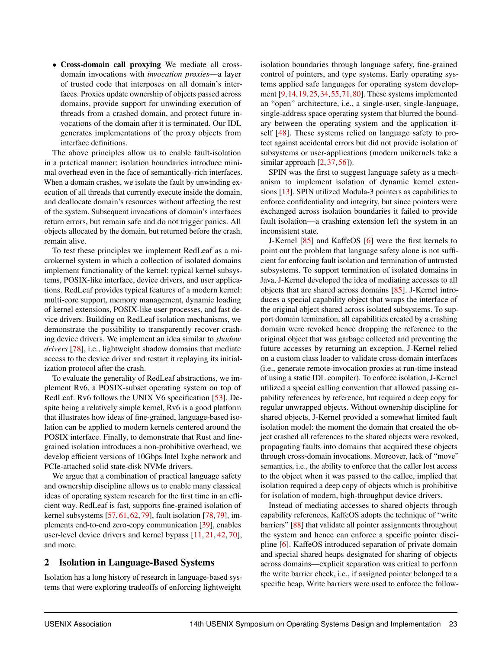• Cross-domain call proxying We mediate all crossdomain invocations with *invocation proxies*—a layer of trusted code that interposes on all domain's interfaces. Proxies update ownership of objects passed across domains, provide support for unwinding execution of threads from a crashed domain, and protect future invocations of the domain after it is terminated. Our IDL generates implementations of the proxy objects from interface definitions.

The above principles allow us to enable fault-isolation in a practical manner: isolation boundaries introduce minimal overhead even in the face of semantically-rich interfaces. When a domain crashes, we isolate the fault by unwinding execution of all threads that currently execute inside the domain, and deallocate domain's resources without affecting the rest of the system. Subsequent invocations of domain's interfaces return errors, but remain safe and do not trigger panics. All objects allocated by the domain, but returned before the crash, remain alive.

To test these principles we implement RedLeaf as a microkernel system in which a collection of isolated domains implement functionality of the kernel: typical kernel subsystems, POSIX-like interface, device drivers, and user applications. RedLeaf provides typical features of a modern kernel: multi-core support, memory management, dynamic loading of kernel extensions, POSIX-like user processes, and fast device drivers. Building on RedLeaf isolation mechanisms, we demonstrate the possibility to transparently recover crashing device drivers. We implement an idea similar to *shadow drivers* [\[78\]](#page-18-6), i.e., lightweight shadow domains that mediate access to the device driver and restart it replaying its initialization protocol after the crash.

To evaluate the generality of RedLeaf abstractions, we implement Rv6, a POSIX-subset operating system on top of RedLeaf. Rv6 follows the UNIX V6 specification [\[53\]](#page-17-5). Despite being a relatively simple kernel, Rv6 is a good platform that illustrates how ideas of fine-grained, language-based isolation can be applied to modern kernels centered around the POSIX interface. Finally, to demonstrate that Rust and finegrained isolation introduces a non-prohibitive overhead, we develop efficient versions of 10Gbps Intel Ixgbe network and PCIe-attached solid state-disk NVMe drivers.

We argue that a combination of practical language safety and ownership discipline allows us to enable many classical ideas of operating system research for the first time in an efficient way. RedLeaf is fast, supports fine-grained isolation of kernel subsystems [\[57,](#page-17-6) [61,](#page-17-7) [62,](#page-17-8) [79\]](#page-18-5), fault isolation [\[78,](#page-18-6) [79\]](#page-18-5), implements end-to-end zero-copy communication [\[39\]](#page-16-5), enables user-level device drivers and kernel bypass [\[11,](#page-15-9) [21,](#page-15-10) [42,](#page-16-8) [70\]](#page-18-13), and more.

#### 2 Isolation in Language-Based Systems

Isolation has a long history of research in language-based systems that were exploring tradeoffs of enforcing lightweight

isolation boundaries through language safety, fine-grained control of pointers, and type systems. Early operating systems applied safe languages for operating system development [\[9,](#page-15-6)[14,](#page-15-7)[19,](#page-15-8)[25,](#page-16-6)[34,](#page-16-7)[55,](#page-17-4)[71,](#page-18-10)[80\]](#page-18-11). These systems implemented an "open" architecture, i.e., a single-user, single-language, single-address space operating system that blurred the boundary between the operating system and the application itself [\[48\]](#page-17-9). These systems relied on language safety to protect against accidental errors but did not provide isolation of subsystems or user-applications (modern unikernels take a similar approach  $[2, 37, 56]$  $[2, 37, 56]$  $[2, 37, 56]$  $[2, 37, 56]$  $[2, 37, 56]$ ).

SPIN was the first to suggest language safety as a mechanism to implement isolation of dynamic kernel extensions [\[13\]](#page-15-4). SPIN utilized Modula-3 pointers as capabilities to enforce confidentiality and integrity, but since pointers were exchanged across isolation boundaries it failed to provide fault isolation—a crashing extension left the system in an inconsistent state.

J-Kernel [\[85\]](#page-18-9) and KaffeOS [\[6\]](#page-15-5) were the first kernels to point out the problem that language safety alone is not sufficient for enforcing fault isolation and termination of untrusted subsystems. To support termination of isolated domains in Java, J-Kernel developed the idea of mediating accesses to all objects that are shared across domains [\[85\]](#page-18-9). J-Kernel introduces a special capability object that wraps the interface of the original object shared across isolated subsystems. To support domain termination, all capabilities created by a crashing domain were revoked hence dropping the reference to the original object that was garbage collected and preventing the future accesses by returning an exception. J-Kernel relied on a custom class loader to validate cross-domain interfaces (i.e., generate remote-invocation proxies at run-time instead of using a static IDL compiler). To enforce isolation, J-Kernel utilized a special calling convention that allowed passing capability references by reference, but required a deep copy for regular unwrapped objects. Without ownership discipline for shared objects, J-Kernel provided a somewhat limited fault isolation model: the moment the domain that created the object crashed all references to the shared objects were revoked, propagating faults into domains that acquired these objects through cross-domain invocations. Moreover, lack of "move" semantics, i.e., the ability to enforce that the caller lost access to the object when it was passed to the callee, implied that isolation required a deep copy of objects which is prohibitive for isolation of modern, high-throughput device drivers.

Instead of mediating accesses to shared objects through capability references, KaffeOS adopts the technique of "write barriers" [\[88\]](#page-19-3) that validate all pointer assignments throughout the system and hence can enforce a specific pointer discipline [\[6\]](#page-15-5). KaffeOS introduced separation of private domain and special shared heaps designated for sharing of objects across domains—explicit separation was critical to perform the write barrier check, i.e., if assigned pointer belonged to a specific heap. Write barriers were used to enforce the follow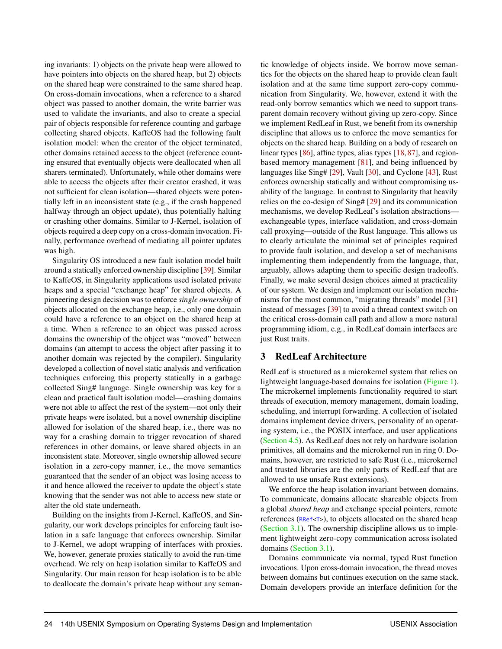ing invariants: 1) objects on the private heap were allowed to have pointers into objects on the shared heap, but 2) objects on the shared heap were constrained to the same shared heap. On cross-domain invocations, when a reference to a shared object was passed to another domain, the write barrier was used to validate the invariants, and also to create a special pair of objects responsible for reference counting and garbage collecting shared objects. KaffeOS had the following fault isolation model: when the creator of the object terminated, other domains retained access to the object (reference counting ensured that eventually objects were deallocated when all sharers terminated). Unfortunately, while other domains were able to access the objects after their creator crashed, it was not sufficient for clean isolation—shared objects were potentially left in an inconsistent state (e.g., if the crash happened halfway through an object update), thus potentially halting or crashing other domains. Similar to J-Kernel, isolation of objects required a deep copy on a cross-domain invocation. Finally, performance overhead of mediating all pointer updates was high.

Singularity OS introduced a new fault isolation model built around a statically enforced ownership discipline [\[39\]](#page-16-5). Similar to KaffeOS, in Singularity applications used isolated private heaps and a special "exchange heap" for shared objects. A pioneering design decision was to enforce *single ownership* of objects allocated on the exchange heap, i.e., only one domain could have a reference to an object on the shared heap at a time. When a reference to an object was passed across domains the ownership of the object was "moved" between domains (an attempt to access the object after passing it to another domain was rejected by the compiler). Singularity developed a collection of novel static analysis and verification techniques enforcing this property statically in a garbage collected Sing# language. Single ownership was key for a clean and practical fault isolation model—crashing domains were not able to affect the rest of the system—not only their private heaps were isolated, but a novel ownership discipline allowed for isolation of the shared heap, i.e., there was no way for a crashing domain to trigger revocation of shared references in other domains, or leave shared objects in an inconsistent state. Moreover, single ownership allowed secure isolation in a zero-copy manner, i.e., the move semantics guaranteed that the sender of an object was losing access to it and hence allowed the receiver to update the object's state knowing that the sender was not able to access new state or alter the old state underneath.

Building on the insights from J-Kernel, KaffeOS, and Singularity, our work develops principles for enforcing fault isolation in a safe language that enforces ownership. Similar to J-Kernel, we adopt wrapping of interfaces with proxies. We, however, generate proxies statically to avoid the run-time overhead. We rely on heap isolation similar to KaffeOS and Singularity. Our main reason for heap isolation is to be able to deallocate the domain's private heap without any seman-

tic knowledge of objects inside. We borrow move semantics for the objects on the shared heap to provide clean fault isolation and at the same time support zero-copy communication from Singularity. We, however, extend it with the read-only borrow semantics which we need to support transparent domain recovery without giving up zero-copy. Since we implement RedLeaf in Rust, we benefit from its ownership discipline that allows us to enforce the move semantics for objects on the shared heap. Building on a body of research on linear types [\[86\]](#page-19-2), affine types, alias types [\[18,](#page-15-12) [87\]](#page-19-4), and regionbased memory management [\[81\]](#page-18-14), and being influenced by languages like Sing# [\[29\]](#page-16-10), Vault [\[30\]](#page-16-11), and Cyclone [\[43\]](#page-16-12), Rust enforces ownership statically and without compromising usability of the language. In contrast to Singularity that heavily relies on the co-design of Sing# [\[29\]](#page-16-10) and its communication mechanisms, we develop RedLeaf's isolation abstractions exchangeable types, interface validation, and cross-domain call proxying—outside of the Rust language. This allows us to clearly articulate the minimal set of principles required to provide fault isolation, and develop a set of mechanisms implementing them independently from the language, that, arguably, allows adapting them to specific design tradeoffs. Finally, we make several design choices aimed at practicality of our system. We design and implement our isolation mechanisms for the most common, "migrating threads" model [\[31\]](#page-16-13) instead of messages [\[39\]](#page-16-5) to avoid a thread context switch on the critical cross-domain call path and allow a more natural programming idiom, e.g., in RedLeaf domain interfaces are just Rust traits.

#### 3 RedLeaf Architecture

RedLeaf is structured as a microkernel system that relies on lightweight language-based domains for isolation [\(Figure 1\)](#page-5-0). The microkernel implements functionality required to start threads of execution, memory management, domain loading, scheduling, and interrupt forwarding. A collection of isolated domains implement device drivers, personality of an operating system, i.e., the POSIX interface, and user applications [\(Section 4.5\)](#page-9-0). As RedLeaf does not rely on hardware isolation primitives, all domains and the microkernel run in ring 0. Domains, however, are restricted to safe Rust (i.e., microkernel and trusted libraries are the only parts of RedLeaf that are allowed to use unsafe Rust extensions).

We enforce the heap isolation invariant between domains. To communicate, domains allocate shareable objects from a global *shared heap* and exchange special pointers, remote references (RRef<T>), to objects allocated on the shared heap [\(Section 3.1\)](#page-5-1). The ownership discipline allows us to implement lightweight zero-copy communication across isolated domains [\(Section 3.1\)](#page-5-1).

Domains communicate via normal, typed Rust function invocations. Upon cross-domain invocation, the thread moves between domains but continues execution on the same stack. Domain developers provide an interface definition for the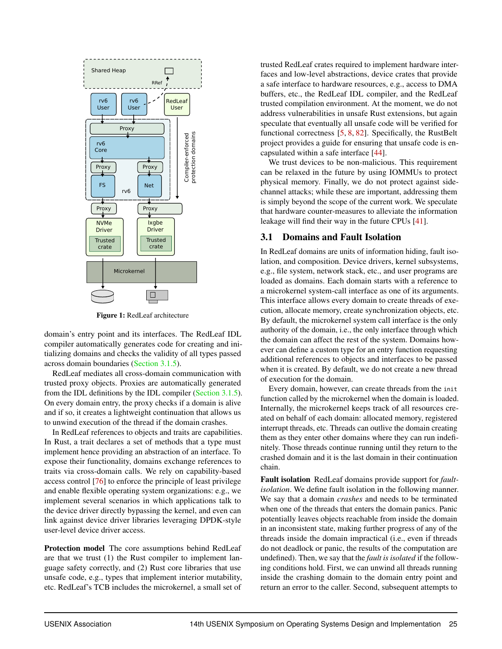<span id="page-5-0"></span>

Figure 1: RedLeaf architecture

domain's entry point and its interfaces. The RedLeaf IDL compiler automatically generates code for creating and initializing domains and checks the validity of all types passed across domain boundaries [\(Section 3.1.5\)](#page-7-0).

RedLeaf mediates all cross-domain communication with trusted proxy objects. Proxies are automatically generated from the IDL definitions by the IDL compiler [\(Section 3.1.5\)](#page-7-0). On every domain entry, the proxy checks if a domain is alive and if so, it creates a lightweight continuation that allows us to unwind execution of the thread if the domain crashes.

In RedLeaf references to objects and traits are capabilities. In Rust, a trait declares a set of methods that a type must implement hence providing an abstraction of an interface. To expose their functionality, domains exchange references to traits via cross-domain calls. We rely on capability-based access control [\[76\]](#page-18-8) to enforce the principle of least privilege and enable flexible operating system organizations: e.g., we implement several scenarios in which applications talk to the device driver directly bypassing the kernel, and even can link against device driver libraries leveraging DPDK-style user-level device driver access.

Protection model The core assumptions behind RedLeaf are that we trust (1) the Rust compiler to implement language safety correctly, and (2) Rust core libraries that use unsafe code, e.g., types that implement interior mutability, etc. RedLeaf's TCB includes the microkernel, a small set of

trusted RedLeaf crates required to implement hardware interfaces and low-level abstractions, device crates that provide a safe interface to hardware resources, e.g., access to DMA buffers, etc., the RedLeaf IDL compiler, and the RedLeaf trusted compilation environment. At the moment, we do not address vulnerabilities in unsafe Rust extensions, but again speculate that eventually all unsafe code will be verified for functional correctness [\[5,](#page-15-13) [8,](#page-15-14) [82\]](#page-18-15). Specifically, the RustBelt project provides a guide for ensuring that unsafe code is encapsulated within a safe interface [\[44\]](#page-17-11).

We trust devices to be non-malicious. This requirement can be relaxed in the future by using IOMMUs to protect physical memory. Finally, we do not protect against sidechannel attacks; while these are important, addressing them is simply beyond the scope of the current work. We speculate that hardware counter-measures to alleviate the information leakage will find their way in the future CPUs [\[41\]](#page-16-14).

#### <span id="page-5-1"></span>3.1 Domains and Fault Isolation

In RedLeaf domains are units of information hiding, fault isolation, and composition. Device drivers, kernel subsystems, e.g., file system, network stack, etc., and user programs are loaded as domains. Each domain starts with a reference to a microkernel system-call interface as one of its arguments. This interface allows every domain to create threads of execution, allocate memory, create synchronization objects, etc. By default, the microkernel system call interface is the only authority of the domain, i.e., the only interface through which the domain can affect the rest of the system. Domains however can define a custom type for an entry function requesting additional references to objects and interfaces to be passed when it is created. By default, we do not create a new thread of execution for the domain.

Every domain, however, can create threads from the init function called by the microkernel when the domain is loaded. Internally, the microkernel keeps track of all resources created on behalf of each domain: allocated memory, registered interrupt threads, etc. Threads can outlive the domain creating them as they enter other domains where they can run indefinitely. Those threads continue running until they return to the crashed domain and it is the last domain in their continuation chain.

Fault isolation RedLeaf domains provide support for *faultisolation*. We define fault isolation in the following manner. We say that a domain *crashes* and needs to be terminated when one of the threads that enters the domain panics. Panic potentially leaves objects reachable from inside the domain in an inconsistent state, making further progress of any of the threads inside the domain impractical (i.e., even if threads do not deadlock or panic, the results of the computation are undefined). Then, we say that the *fault is isolated* if the following conditions hold. First, we can unwind all threads running inside the crashing domain to the domain entry point and return an error to the caller. Second, subsequent attempts to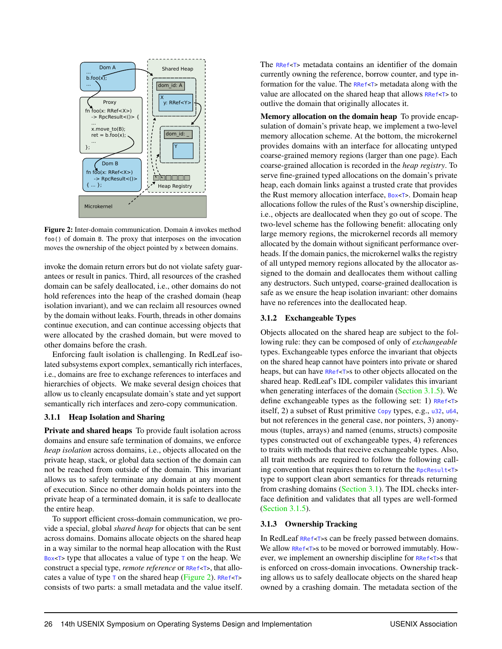<span id="page-6-0"></span>

Figure 2: Inter-domain communication. Domain A invokes method foo() of domain B. The proxy that interposes on the invocation moves the ownership of the object pointed by x between domains.

invoke the domain return errors but do not violate safety guarantees or result in panics. Third, all resources of the crashed domain can be safely deallocated, i.e., other domains do not hold references into the heap of the crashed domain (heap isolation invariant), and we can reclaim all resources owned by the domain without leaks. Fourth, threads in other domains continue execution, and can continue accessing objects that were allocated by the crashed domain, but were moved to other domains before the crash.

Enforcing fault isolation is challenging. In RedLeaf isolated subsystems export complex, semantically rich interfaces, i.e., domains are free to exchange references to interfaces and hierarchies of objects. We make several design choices that allow us to cleanly encapsulate domain's state and yet support semantically rich interfaces and zero-copy communication.

#### 3.1.1 Heap Isolation and Sharing

Private and shared heaps To provide fault isolation across domains and ensure safe termination of domains, we enforce *heap isolation* across domains, i.e., objects allocated on the private heap, stack, or global data section of the domain can not be reached from outside of the domain. This invariant allows us to safely terminate any domain at any moment of execution. Since no other domain holds pointers into the private heap of a terminated domain, it is safe to deallocate the entire heap.

To support efficient cross-domain communication, we provide a special, global *shared heap* for objects that can be sent across domains. Domains allocate objects on the shared heap in a way similar to the normal heap allocation with the Rust Box<T> type that allocates a value of type  $\tau$  on the heap. We construct a special type, *remote reference* or RRef<T>, that allocates a value of type  $\tau$  on the shared heap [\(Figure 2\)](#page-6-0). RRef<T> consists of two parts: a small metadata and the value itself. The RRef<T> metadata contains an identifier of the domain currently owning the reference, borrow counter, and type information for the value. The RRef<T> metadata along with the value are allocated on the shared heap that allows RRef<T> to outlive the domain that originally allocates it.

Memory allocation on the domain heap To provide encapsulation of domain's private heap, we implement a two-level memory allocation scheme. At the bottom, the microkernel provides domains with an interface for allocating untyped coarse-grained memory regions (larger than one page). Each coarse-grained allocation is recorded in the *heap registry*. To serve fine-grained typed allocations on the domain's private heap, each domain links against a trusted crate that provides the Rust memory allocation interface, Box<T>. Domain heap allocations follow the rules of the Rust's ownership discipline, i.e., objects are deallocated when they go out of scope. The two-level scheme has the following benefit: allocating only large memory regions, the microkernel records all memory allocated by the domain without significant performance overheads. If the domain panics, the microkernel walks the registry of all untyped memory regions allocated by the allocator assigned to the domain and deallocates them without calling any destructors. Such untyped, coarse-grained deallocation is safe as we ensure the heap isolation invariant: other domains have no references into the deallocated heap.

#### 3.1.2 Exchangeable Types

Objects allocated on the shared heap are subject to the following rule: they can be composed of only of *exchangeable* types. Exchangeable types enforce the invariant that objects on the shared heap cannot have pointers into private or shared heaps, but can have RRef<T>s to other objects allocated on the shared heap. RedLeaf's IDL compiler validates this invariant when generating interfaces of the domain [\(Section 3.1.5\)](#page-7-0). We define exchangeable types as the following set: 1) RRef<T> itself, 2) a subset of Rust primitive Copy types, e.g., u32, u64, but not references in the general case, nor pointers, 3) anonymous (tuples, arrays) and named (enums, structs) composite types constructed out of exchangeable types, 4) references to traits with methods that receive exchangeable types. Also, all trait methods are required to follow the following calling convention that requires them to return the RpcResult<T> type to support clean abort semantics for threads returning from crashing domains [\(Section 3.1\)](#page-5-1). The IDL checks interface definition and validates that all types are well-formed [\(Section 3.1.5\)](#page-7-0).

#### 3.1.3 Ownership Tracking

In RedLeaf RRef<T>s can be freely passed between domains. We allow RRef<T>s to be moved or borrowed immutably. However, we implement an ownership discipline for RRef<T>s that is enforced on cross-domain invocations. Ownership tracking allows us to safely deallocate objects on the shared heap owned by a crashing domain. The metadata section of the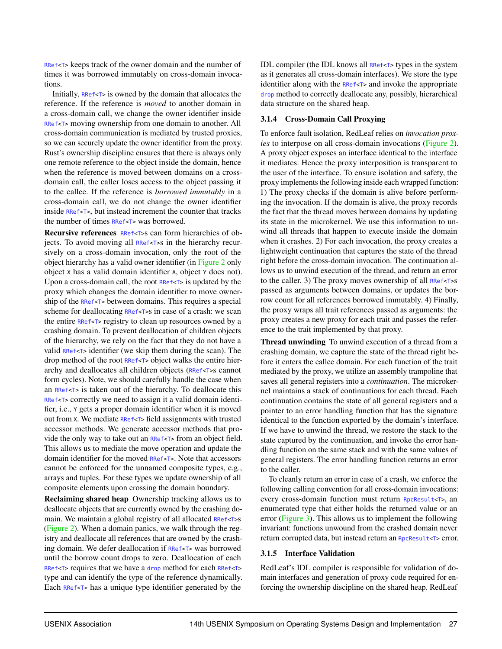RRef<T> keeps track of the owner domain and the number of times it was borrowed immutably on cross-domain invocations.

Initially, RRef<T> is owned by the domain that allocates the reference. If the reference is *moved* to another domain in a cross-domain call, we change the owner identifier inside RRef<T> moving ownership from one domain to another. All cross-domain communication is mediated by trusted proxies, so we can securely update the owner identifier from the proxy. Rust's ownership discipline ensures that there is always only one remote reference to the object inside the domain, hence when the reference is moved between domains on a crossdomain call, the caller loses access to the object passing it to the callee. If the reference is *borrowed immutably* in a cross-domain call, we do not change the owner identifier inside RRef<T>, but instead increment the counter that tracks the number of times RRef<T> was borrowed.

Recursive references RRef<T>s can form hierarchies of objects. To avoid moving all RRef<T>s in the hierarchy recursively on a cross-domain invocation, only the root of the object hierarchy has a valid owner identifier (in [Figure 2](#page-6-0) only object <sup>X</sup> has a valid domain identifier <sup>A</sup>, object <sup>Y</sup> does not). Upon a cross-domain call, the root RRef<T> is updated by the proxy which changes the domain identifier to move ownership of the RRef<T> between domains. This requires a special scheme for deallocating RRef<T>s in case of a crash: we scan the entire RRef<T> registry to clean up resources owned by a crashing domain. To prevent deallocation of children objects of the hierarchy, we rely on the fact that they do not have a valid RRef<T> identifier (we skip them during the scan). The drop method of the root RRef<T> object walks the entire hierarchy and deallocates all children objects (RRef<T>s cannot form cycles). Note, we should carefully handle the case when an RRef<T> is taken out of the hierarchy. To deallocate this RRef<T> correctly we need to assign it a valid domain identifier, i.e., <sup>Y</sup> gets a proper domain identifier when it is moved out from <sup>X</sup>. We mediate RRef<T> field assignments with trusted accessor methods. We generate accessor methods that provide the only way to take out an RRef<T> from an object field. This allows us to mediate the move operation and update the domain identifier for the moved RRef<T>. Note that accessors cannot be enforced for the unnamed composite types, e.g., arrays and tuples. For these types we update ownership of all composite elements upon crossing the domain boundary.

Reclaiming shared heap Ownership tracking allows us to deallocate objects that are currently owned by the crashing domain. We maintain a global registry of all allocated RRef<T>s [\(Figure 2\)](#page-6-0). When a domain panics, we walk through the registry and deallocate all references that are owned by the crashing domain. We defer deallocation if RRef<T> was borrowed until the borrow count drops to zero. Deallocation of each RRef<T> requires that we have a drop method for each RRef<T> type and can identify the type of the reference dynamically. Each RRef<T> has a unique type identifier generated by the

IDL compiler (the IDL knows all RRef<T> types in the system as it generates all cross-domain interfaces). We store the type identifier along with the RRef<T> and invoke the appropriate drop method to correctly deallocate any, possibly, hierarchical data structure on the shared heap.

#### 3.1.4 Cross-Domain Call Proxying

To enforce fault isolation, RedLeaf relies on *invocation proxies* to interpose on all cross-domain invocations [\(Figure 2\)](#page-6-0). A proxy object exposes an interface identical to the interface it mediates. Hence the proxy interposition is transparent to the user of the interface. To ensure isolation and safety, the proxy implements the following inside each wrapped function: 1) The proxy checks if the domain is alive before performing the invocation. If the domain is alive, the proxy records the fact that the thread moves between domains by updating its state in the microkernel. We use this information to unwind all threads that happen to execute inside the domain when it crashes. 2) For each invocation, the proxy creates a lightweight continuation that captures the state of the thread right before the cross-domain invocation. The continuation allows us to unwind execution of the thread, and return an error to the caller. 3) The proxy moves ownership of all  $RRef < T > S$ passed as arguments between domains, or updates the borrow count for all references borrowed immutably. 4) Finally, the proxy wraps all trait references passed as arguments: the proxy creates a new proxy for each trait and passes the reference to the trait implemented by that proxy.

Thread unwinding To unwind execution of a thread from a crashing domain, we capture the state of the thread right before it enters the callee domain. For each function of the trait mediated by the proxy, we utilize an assembly trampoline that saves all general registers into a *continuation*. The microkernel maintains a stack of continuations for each thread. Each continuation contains the state of all general registers and a pointer to an error handling function that has the signature identical to the function exported by the domain's interface. If we have to unwind the thread, we restore the stack to the state captured by the continuation, and invoke the error handling function on the same stack and with the same values of general registers. The error handling function returns an error to the caller.

To cleanly return an error in case of a crash, we enforce the following calling convention for all cross-domain invocations: every cross-domain function must return RpcResult<T>, an enumerated type that either holds the returned value or an error [\(Figure 3\)](#page-8-0). This allows us to implement the following invariant: functions unwound from the crashed domain never return corrupted data, but instead return an R<sub>pcResult<T></sub> error.

#### <span id="page-7-0"></span>3.1.5 Interface Validation

RedLeaf's IDL compiler is responsible for validation of domain interfaces and generation of proxy code required for enforcing the ownership discipline on the shared heap. RedLeaf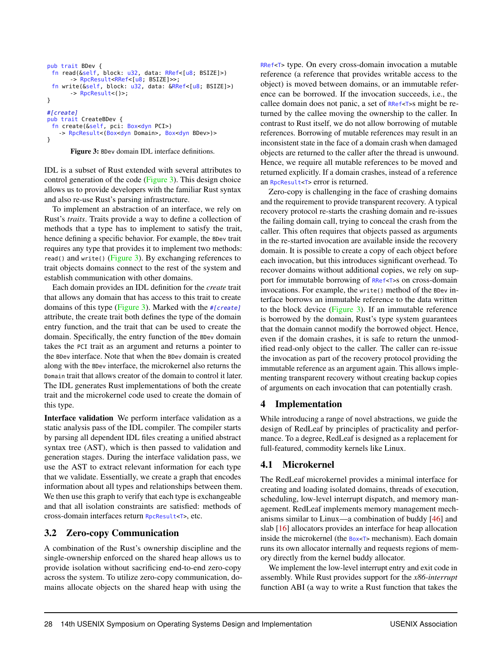```
pub trait BDev {
 fn read(&self, block: u32, data: RRef<[u8; BSIZE]>)
       -> RpcResult<RRef<[u8; BSIZE]>>;
 fn write(&self, block: u32, data: &RRef<[u8; BSIZE]>)
      -> RpcResult<()>;
}
#[create]
pub trait CreateBDev {
 fn create(&self, pci: Box<dyn PCI>)
   -> RpcResult<(Box<dyn Domain>, Box<dyn BDev>)>
}
```
Figure 3: BDev domain IDL interface definitions.

IDL is a subset of Rust extended with several attributes to control generation of the code [\(Figure 3\)](#page-8-0). This design choice allows us to provide developers with the familiar Rust syntax and also re-use Rust's parsing infrastructure.

To implement an abstraction of an interface, we rely on Rust's *traits*. Traits provide a way to define a collection of methods that a type has to implement to satisfy the trait, hence defining a specific behavior. For example, the BDev trait requires any type that provides it to implement two methods: read() and write() [\(Figure 3\)](#page-8-0). By exchanging references to trait objects domains connect to the rest of the system and establish communication with other domains.

Each domain provides an IDL definition for the *create* trait that allows any domain that has access to this trait to create domains of this type [\(Figure 3\)](#page-8-0). Marked with the #[create] attribute, the create trait both defines the type of the domain entry function, and the trait that can be used to create the domain. Specifically, the entry function of the BDev domain takes the PCI trait as an argument and returns a pointer to the BDev interface. Note that when the BDev domain is created along with the BDev interface, the microkernel also returns the Domain trait that allows creator of the domain to control it later. The IDL generates Rust implementations of both the create trait and the microkernel code used to create the domain of this type.

Interface validation We perform interface validation as a static analysis pass of the IDL compiler. The compiler starts by parsing all dependent IDL files creating a unified abstract syntax tree (AST), which is then passed to validation and generation stages. During the interface validation pass, we use the AST to extract relevant information for each type that we validate. Essentially, we create a graph that encodes information about all types and relationships between them. We then use this graph to verify that each type is exchangeable and that all isolation constraints are satisfied: methods of cross-domain interfaces return RpcResult<T>, etc.

## 3.2 Zero-copy Communication

A combination of the Rust's ownership discipline and the single-ownership enforced on the shared heap allows us to provide isolation without sacrificing end-to-end zero-copy across the system. To utilize zero-copy communication, domains allocate objects on the shared heap with using the

RRef<T> type. On every cross-domain invocation a mutable reference (a reference that provides writable access to the object) is moved between domains, or an immutable reference can be borrowed. If the invocation succeeds, i.e., the callee domain does not panic, a set of RRef<T>s might be returned by the callee moving the ownership to the caller. In contrast to Rust itself, we do not allow borrowing of mutable references. Borrowing of mutable references may result in an inconsistent state in the face of a domain crash when damaged objects are returned to the caller after the thread is unwound. Hence, we require all mutable references to be moved and returned explicitly. If a domain crashes, instead of a reference an RpcResult<T> error is returned.

Zero-copy is challenging in the face of crashing domains and the requirement to provide transparent recovery. A typical recovery protocol re-starts the crashing domain and re-issues the failing domain call, trying to conceal the crash from the caller. This often requires that objects passed as arguments in the re-started invocation are available inside the recovery domain. It is possible to create a copy of each object before each invocation, but this introduces significant overhead. To recover domains without additional copies, we rely on support for immutable borrowing of RRef<T>s on cross-domain invocations. For example, the write() method of the BDev interface borrows an immutable reference to the data written to the block device [\(Figure 3\)](#page-8-0). If an immutable reference is borrowed by the domain, Rust's type system guarantees that the domain cannot modify the borrowed object. Hence, even if the domain crashes, it is safe to return the unmodified read-only object to the caller. The caller can re-issue the invocation as part of the recovery protocol providing the immutable reference as an argument again. This allows implementing transparent recovery without creating backup copies of arguments on each invocation that can potentially crash.

## 4 Implementation

While introducing a range of novel abstractions, we guide the design of RedLeaf by principles of practicality and performance. To a degree, RedLeaf is designed as a replacement for full-featured, commodity kernels like Linux.

## 4.1 Microkernel

The RedLeaf microkernel provides a minimal interface for creating and loading isolated domains, threads of execution, scheduling, low-level interrupt dispatch, and memory management. RedLeaf implements memory management mechanisms similar to Linux—a combination of buddy [\[46\]](#page-17-12) and slab [\[16\]](#page-15-15) allocators provides an interface for heap allocation inside the microkernel (the Box<T> mechanism). Each domain runs its own allocator internally and requests regions of memory directly from the kernel buddy allocator.

We implement the low-level interrupt entry and exit code in assembly. While Rust provides support for the *x86-interrupt* function ABI (a way to write a Rust function that takes the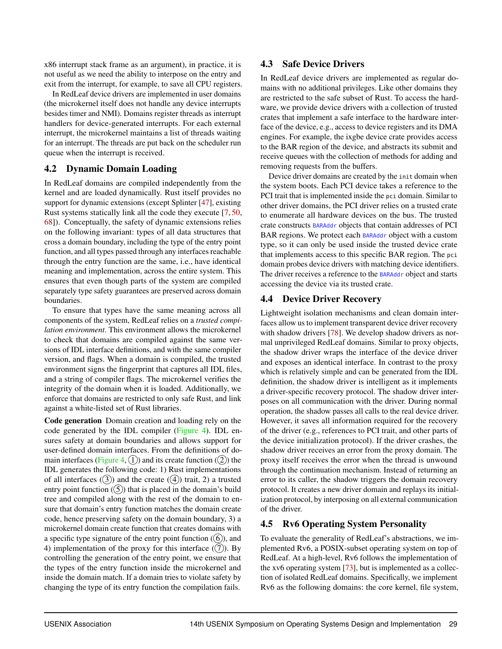x86 interrupt stack frame as an argument), in practice, it is not useful as we need the ability to interpose on the entry and exit from the interrupt, for example, to save all CPU registers.

In RedLeaf device drivers are implemented in user domains (the microkernel itself does not handle any device interrupts besides timer and NMI). Domains register threads as interrupt handlers for device-generated interrupts. For each external interrupt, the microkernel maintains a list of threads waiting for an interrupt. The threads are put back on the scheduler run queue when the interrupt is received.

## 4.2 Dynamic Domain Loading

In RedLeaf domains are compiled independently from the kernel and are loaded dynamically. Rust itself provides no support for dynamic extensions (except Splinter [\[47\]](#page-17-1), existing Rust systems statically link all the code they execute [\[7,](#page-15-16) [50,](#page-17-2) [68\]](#page-18-12)). Conceptually, the safety of dynamic extensions relies on the following invariant: types of all data structures that cross a domain boundary, including the type of the entry point function, and all types passed through any interfaces reachable through the entry function are the same, i.e., have identical meaning and implementation, across the entire system. This ensures that even though parts of the system are compiled separately type safety guarantees are preserved across domain boundaries.

To ensure that types have the same meaning across all components of the system, RedLeaf relies on a *trusted compilation environment*. This environment allows the microkernel to check that domains are compiled against the same versions of IDL interface definitions, and with the same compiler version, and flags. When a domain is compiled, the trusted environment signs the fingerprint that captures all IDL files, and a string of compiler flags. The microkernel verifies the integrity of the domain when it is loaded. Additionally, we enforce that domains are restricted to only safe Rust, and link against a white-listed set of Rust libraries.

Code generation Domain creation and loading rely on the code generated by the IDL compiler [\(Figure 4\)](#page-10-0). IDL ensures safety at domain boundaries and allows support for user-defined domain interfaces. From the definitions of do-main interfaces [\(Figure 4,](#page-10-0)  $(1)$ ) and its create function  $(2)$ ) the IDL generates the following code: 1) Rust implementations of all interfaces  $(3)$  and the create  $(4)$  trait, 2) a trusted entry point function  $(5)$  that is placed in the domain's build tree and compiled along with the rest of the domain to ensure that domain's entry function matches the domain create code, hence preserving safety on the domain boundary, 3) a microkernel domain create function that creates domains with a specific type signature of the entry point function  $(6)$ , and 4) implementation of the proxy for this interface  $(7)$ . By controlling the generation of the entry point, we ensure that the types of the entry function inside the microkernel and inside the domain match. If a domain tries to violate safety by changing the type of its entry function the compilation fails.

## 4.3 Safe Device Drivers

In RedLeaf device drivers are implemented as regular domains with no additional privileges. Like other domains they are restricted to the safe subset of Rust. To access the hardware, we provide device drivers with a collection of trusted crates that implement a safe interface to the hardware interface of the device, e.g., access to device registers and its DMA engines. For example, the ixgbe device crate provides access to the BAR region of the device, and abstracts its submit and receive queues with the collection of methods for adding and removing requests from the buffers.

Device driver domains are created by the init domain when the system boots. Each PCI device takes a reference to the PCI trait that is implemented inside the pci domain. Similar to other driver domains, the PCI driver relies on a trusted crate to enumerate all hardware devices on the bus. The trusted crate constructs BARAddr objects that contain addresses of PCI BAR regions. We protect each BARAddr object with a custom type, so it can only be used inside the trusted device crate that implements access to this specific BAR region. The pci domain probes device drivers with matching device identifiers. The driver receives a reference to the **BARAddr** object and starts accessing the device via its trusted crate.

## 4.4 Device Driver Recovery

Lightweight isolation mechanisms and clean domain interfaces allow us to implement transparent device driver recovery with shadow drivers [\[78\]](#page-18-6). We develop shadow drivers as normal unprivileged RedLeaf domains. Similar to proxy objects, the shadow driver wraps the interface of the device driver and exposes an identical interface. In contrast to the proxy which is relatively simple and can be generated from the IDL definition, the shadow driver is intelligent as it implements a driver-specific recovery protocol. The shadow driver interposes on all communication with the driver. During normal operation, the shadow passes all calls to the real device driver. However, it saves all information required for the recovery of the driver (e.g., references to PCI trait, and other parts of the device initialization protocol). If the driver crashes, the shadow driver receives an error from the proxy domain. The proxy itself receives the error when the thread is unwound through the continuation mechanism. Instead of returning an error to its caller, the shadow triggers the domain recovery protocol. It creates a new driver domain and replays its initialization protocol, by interposing on all external communication of the driver.

## <span id="page-9-0"></span>4.5 Rv6 Operating System Personality

To evaluate the generality of RedLeaf's abstractions, we implemented Rv6, a POSIX-subset operating system on top of RedLeaf. At a high-level, Rv6 follows the implementation of the xv6 operating system [\[73\]](#page-18-16), but is implemented as a collection of isolated RedLeaf domains. Specifically, we implement Rv6 as the following domains: the core kernel, file system,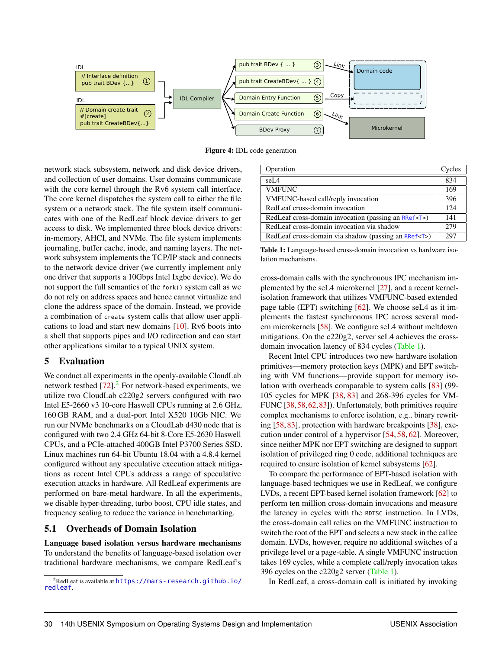<span id="page-10-0"></span>

Figure 4: IDL code generation

network stack subsystem, network and disk device drivers, and collection of user domains. User domains communicate with the core kernel through the Rv6 system call interface. The core kernel dispatches the system call to either the file system or a network stack. The file system itself communicates with one of the RedLeaf block device drivers to get access to disk. We implemented three block device drivers: in-memory, AHCI, and NVMe. The file system implements journaling, buffer cache, inode, and naming layers. The network subsystem implements the TCP/IP stack and connects to the network device driver (we currently implement only one driver that supports a 10Gbps Intel Ixgbe device). We do not support the full semantics of the fork() system call as we do not rely on address spaces and hence cannot virtualize and clone the address space of the domain. Instead, we provide a combination of create system calls that allow user applications to load and start new domains [\[10\]](#page-15-17). Rv6 boots into a shell that supports pipes and I/O redirection and can start other applications similar to a typical UNIX system.

#### 5 Evaluation

We conduct all experiments in the openly-available CloudLab network testbed  $[72]$ .<sup>[2](#page-10-1)</sup> For network-based experiments, we utilize two CloudLab c220g2 servers configured with two Intel E5-2660 v3 10-core Haswell CPUs running at 2.6 GHz, 160 GB RAM, and a dual-port Intel X520 10Gb NIC. We run our NVMe benchmarks on a CloudLab d430 node that is configured with two 2.4 GHz 64-bit 8-Core E5-2630 Haswell CPUs, and a PCIe-attached 400GB Intel P3700 Series SSD. Linux machines run 64-bit Ubuntu 18.04 with a 4.8.4 kernel configured without any speculative execution attack mitigations as recent Intel CPUs address a range of speculative execution attacks in hardware. All RedLeaf experiments are performed on bare-metal hardware. In all the experiments, we disable hyper-threading, turbo boost, CPU idle states, and frequency scaling to reduce the variance in benchmarking.

#### 5.1 Overheads of Domain Isolation

Language based isolation versus hardware mechanisms To understand the benefits of language-based isolation over traditional hardware mechanisms, we compare RedLeaf's

<span id="page-10-2"></span>

| Operation                                                 | Cycles |
|-----------------------------------------------------------|--------|
| seL <sub>4</sub>                                          | 834    |
| <b>VMFUNC</b>                                             | 169    |
| VMFUNC-based call/reply invocation                        | 396    |
| RedLeaf cross-domain invocation                           | 124    |
| RedLeaf cross-domain invocation (passing an RRef <t>)</t> | 141    |
| RedLeaf cross-domain invocation via shadow                | 279    |
| RedLeaf cross-domain via shadow (passing an RRef <t>)</t> | 297    |

Table 1: Language-based cross-domain invocation vs hardware isolation mechanisms.

cross-domain calls with the synchronous IPC mechanism implemented by the seL4 microkernel [\[27\]](#page-16-15), and a recent kernelisolation framework that utilizes VMFUNC-based extended page table (EPT) switching  $[62]$ . We choose seL4 as it implements the fastest synchronous IPC across several modern microkernels [\[58\]](#page-17-13). We configure seL4 without meltdown mitigations. On the c220g2, server seL4 achieves the crossdomain invocation latency of 834 cycles [\(Table 1\)](#page-10-2).

Recent Intel CPU introduces two new hardware isolation primitives—memory protection keys (MPK) and EPT switching with VM functions—provide support for memory isolation with overheads comparable to system calls [\[83\]](#page-18-18) (99- 105 cycles for MPK [\[38,](#page-16-16) [83\]](#page-18-18) and 268-396 cycles for VM-FUNC [\[38,](#page-16-16)[58,](#page-17-13)[62,](#page-17-8)[83\]](#page-18-18)). Unfortunately, both primitives require complex mechanisms to enforce isolation, e.g., binary rewriting [\[58,](#page-17-13) [83\]](#page-18-18), protection with hardware breakpoints [\[38\]](#page-16-16), execution under control of a hypervisor [\[54,](#page-17-14) [58,](#page-17-13) [62\]](#page-17-8). Moreover, since neither MPK nor EPT switching are designed to support isolation of privileged ring 0 code, additional techniques are required to ensure isolation of kernel subsystems [\[62\]](#page-17-8).

To compare the performance of EPT-based isolation with language-based techniques we use in RedLeaf, we configure LVDs, a recent EPT-based kernel isolation framework [\[62\]](#page-17-8) to perform ten million cross-domain invocations and measure the latency in cycles with the RDTSC instruction. In LVDs, the cross-domain call relies on the VMFUNC instruction to switch the root of the EPT and selects a new stack in the callee domain. LVDs, however, require no additional switches of a privilege level or a page-table. A single VMFUNC instruction takes 169 cycles, while a complete call/reply invocation takes 396 cycles on the c220g2 server [\(Table 1\)](#page-10-2).

In RedLeaf, a cross-domain call is initiated by invoking

<span id="page-10-1"></span><sup>2</sup>RedLeaf is available at [https://mars-research.github.io/](https://mars-research.github.io/redleaf) [redleaf](https://mars-research.github.io/redleaf).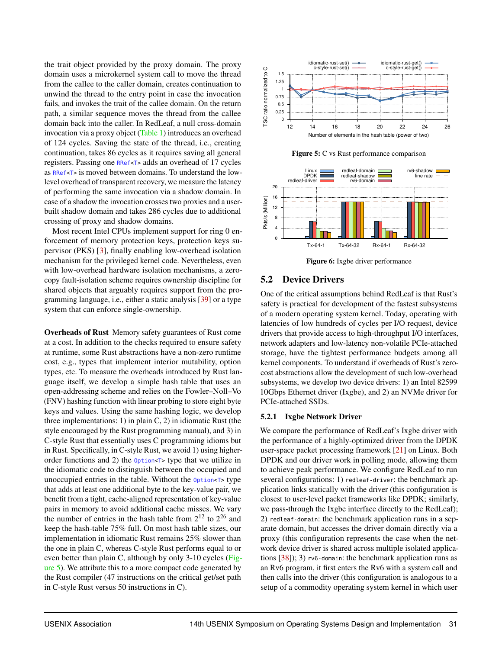the trait object provided by the proxy domain. The proxy domain uses a microkernel system call to move the thread from the callee to the caller domain, creates continuation to unwind the thread to the entry point in case the invocation fails, and invokes the trait of the callee domain. On the return path, a similar sequence moves the thread from the callee domain back into the caller. In RedLeaf, a null cross-domain invocation via a proxy object [\(Table 1\)](#page-10-2) introduces an overhead of 124 cycles. Saving the state of the thread, i.e., creating continuation, takes 86 cycles as it requires saving all general registers. Passing one RRef<T> adds an overhead of 17 cycles as RRef<T> is moved between domains. To understand the lowlevel overhead of transparent recovery, we measure the latency of performing the same invocation via a shadow domain. In case of a shadow the invocation crosses two proxies and a userbuilt shadow domain and takes 286 cycles due to additional crossing of proxy and shadow domains.

Most recent Intel CPUs implement support for ring 0 enforcement of memory protection keys, protection keys supervisor (PKS) [\[3\]](#page-15-18), finally enabling low-overhead isolation mechanism for the privileged kernel code. Nevertheless, even with low-overhead hardware isolation mechanisms, a zerocopy fault-isolation scheme requires ownership discipline for shared objects that arguably requires support from the programming language, i.e., either a static analysis [\[39\]](#page-16-5) or a type system that can enforce single-ownership.

Overheads of Rust Memory safety guarantees of Rust come at a cost. In addition to the checks required to ensure safety at runtime, some Rust abstractions have a non-zero runtime cost, e.g., types that implement interior mutability, option types, etc. To measure the overheads introduced by Rust language itself, we develop a simple hash table that uses an open-addressing scheme and relies on the Fowler–Noll–Vo (FNV) hashing function with linear probing to store eight byte keys and values. Using the same hashing logic, we develop three implementations: 1) in plain C, 2) in idiomatic Rust (the style encouraged by the Rust programming manual), and 3) in C-style Rust that essentially uses C programming idioms but in Rust. Specifically, in C-style Rust, we avoid 1) using higherorder functions and 2) the Option<T> type that we utilize in the idiomatic code to distinguish between the occupied and unoccupied entries in the table. Without the Option<T> type that adds at least one additional byte to the key-value pair, we benefit from a tight, cache-aligned representation of key-value pairs in memory to avoid additional cache misses. We vary the number of entries in the hash table from  $2^{12}$  to  $2^{26}$  and keep the hash-table 75% full. On most hash table sizes, our implementation in idiomatic Rust remains 25% slower than the one in plain C, whereas C-style Rust performs equal to or even better than plain C, although by only 3-10 cycles [\(Fig](#page-11-0)[ure 5\)](#page-11-0). We attribute this to a more compact code generated by the Rust compiler (47 instructions on the critical get/set path in C-style Rust versus 50 instructions in C).

<span id="page-11-0"></span>

Figure 5: C vs Rust performance comparison

<span id="page-11-1"></span>

Figure 6: Ixgbe driver performance

#### 5.2 Device Drivers

One of the critical assumptions behind RedLeaf is that Rust's safety is practical for development of the fastest subsystems of a modern operating system kernel. Today, operating with latencies of low hundreds of cycles per I/O request, device drivers that provide access to high-throughput I/O interfaces, network adapters and low-latency non-volatile PCIe-attached storage, have the tightest performance budgets among all kernel components. To understand if overheads of Rust's zerocost abstractions allow the development of such low-overhead subsystems, we develop two device drivers: 1) an Intel 82599 10Gbps Ethernet driver (Ixgbe), and 2) an NVMe driver for PCIe-attached SSDs.

#### 5.2.1 Ixgbe Network Driver

We compare the performance of RedLeaf's Ixgbe driver with the performance of a highly-optimized driver from the DPDK user-space packet processing framework [\[21\]](#page-15-10) on Linux. Both DPDK and our driver work in polling mode, allowing them to achieve peak performance. We configure RedLeaf to run several configurations: 1) redleaf-driver: the benchmark application links statically with the driver (this configuration is closest to user-level packet frameworks like DPDK; similarly, we pass-through the Ixgbe interface directly to the RedLeaf); 2) redleaf-domain: the benchmark application runs in a separate domain, but accesses the driver domain directly via a proxy (this configuration represents the case when the network device driver is shared across multiple isolated applications [\[38\]](#page-16-16)); 3) rv6-domain: the benchmark application runs as an Rv6 program, it first enters the Rv6 with a system call and then calls into the driver (this configuration is analogous to a setup of a commodity operating system kernel in which user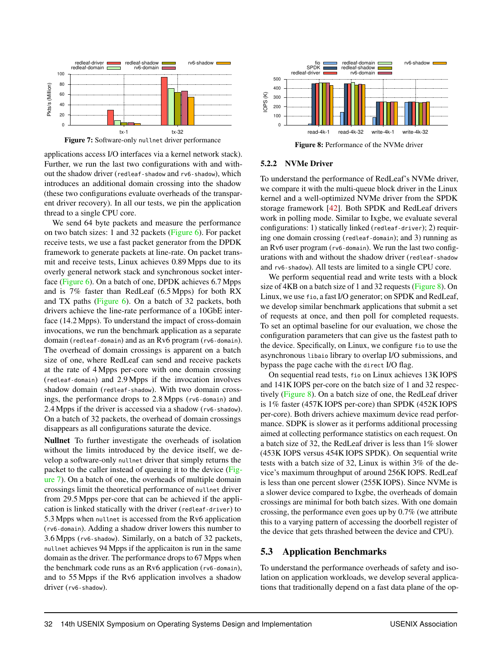<span id="page-12-0"></span>

Figure 7: Software-only nullnet driver performance

applications access I/O interfaces via a kernel network stack). Further, we run the last two configurations with and without the shadow driver (redleaf-shadow and rv6-shadow), which introduces an additional domain crossing into the shadow (these two configurations evaluate overheads of the transparent driver recovery). In all our tests, we pin the application thread to a single CPU core.

We send 64 byte packets and measure the performance on two batch sizes: 1 and 32 packets [\(Figure 6\)](#page-11-1). For packet receive tests, we use a fast packet generator from the DPDK framework to generate packets at line-rate. On packet transmit and receive tests, Linux achieves 0.89 Mpps due to its overly general network stack and synchronous socket interface [\(Figure 6\)](#page-11-1). On a batch of one, DPDK achieves 6.7 Mpps and is 7% faster than RedLeaf (6.5 Mpps) for both RX and TX paths [\(Figure 6\)](#page-11-1). On a batch of 32 packets, both drivers achieve the line-rate performance of a 10GbE interface (14.2 Mpps). To understand the impact of cross-domain invocations, we run the benchmark application as a separate domain (redleaf-domain) and as an Rv6 program (rv6-domain). The overhead of domain crossings is apparent on a batch size of one, where RedLeaf can send and receive packets at the rate of 4 Mpps per-core with one domain crossing (redleaf-domain) and 2.9 Mpps if the invocation involves shadow domain (redleaf-shadow). With two domain crossings, the performance drops to 2.8 Mpps (rv6-domain) and 2.4 Mpps if the driver is accessed via a shadow (rv6-shadow). On a batch of 32 packets, the overhead of domain crossings disappears as all configurations saturate the device.

Nullnet To further investigate the overheads of isolation without the limits introduced by the device itself, we develop a software-only nullnet driver that simply returns the packet to the caller instead of queuing it to the device [\(Fig](#page-12-0)[ure 7\)](#page-12-0). On a batch of one, the overheads of multiple domain crossings limit the theoretical performance of nullnet driver from 29.5 Mpps per-core that can be achieved if the application is linked statically with the driver (redleaf-driver) to 5.3 Mpps when nullnet is accessed from the Rv6 application (rv6-domain). Adding a shadow driver lowers this number to 3.6 Mpps (rv6-shadow). Similarly, on a batch of 32 packets, nullnet achieves 94 Mpps if the applicaiton is run in the same domain as the driver. The performance drops to 67 Mpps when the benchmark code runs as an Rv6 application (rv6-domain), and to 55 Mpps if the Rv6 application involves a shadow driver (rv6-shadow).

<span id="page-12-1"></span>

Figure 8: Performance of the NVMe driver

#### 5.2.2 NVMe Driver

To understand the performance of RedLeaf's NVMe driver, we compare it with the multi-queue block driver in the Linux kernel and a well-optimized NVMe driver from the SPDK storage framework [\[42\]](#page-16-8). Both SPDK and RedLeaf drivers work in polling mode. Similar to Ixgbe, we evaluate several configurations: 1) statically linked (redleaf-driver); 2) requiring one domain crossing (redleaf-domain); and 3) running as an Rv6 user program (rv6-domain). We run the last two configurations with and without the shadow driver (redleaf-shadow and rv6-shadow). All tests are limited to a single CPU core.

We perform sequential read and write tests with a block size of 4KB on a batch size of 1 and 32 requests [\(Figure 8\)](#page-12-1). On Linux, we use fio, a fast I/O generator; on SPDK and RedLeaf, we develop similar benchmark applications that submit a set of requests at once, and then poll for completed requests. To set an optimal baseline for our evaluation, we chose the configuration parameters that can give us the fastest path to the device. Specifically, on Linux, we configure fio to use the asynchronous libaio library to overlap I/O submissions, and bypass the page cache with the direct I/O flag.

On sequential read tests, fio on Linux achieves 13K IOPS and 141K IOPS per-core on the batch size of 1 and 32 respectively [\(Figure 8\)](#page-12-1). On a batch size of one, the RedLeaf driver is 1% faster (457K IOPS per-core) than SPDK (452K IOPS per-core). Both drivers achieve maximum device read performance. SDPK is slower as it performs additional processing aimed at collecting performance statistics on each request. On a batch size of 32, the RedLeaf driver is less than 1% slower (453K IOPS versus 454K IOPS SPDK). On sequential write tests with a batch size of 32, Linux is within 3% of the device's maximum throughput of around 256K IOPS. RedLeaf is less than one percent slower (255K IOPS). Since NVMe is a slower device compared to Ixgbe, the overheads of domain crossings are minimal for both batch sizes. With one domain crossing, the performance even goes up by 0.7% (we attribute this to a varying pattern of accessing the doorbell register of the device that gets thrashed between the device and CPU).

## 5.3 Application Benchmarks

To understand the performance overheads of safety and isolation on application workloads, we develop several applications that traditionally depend on a fast data plane of the op-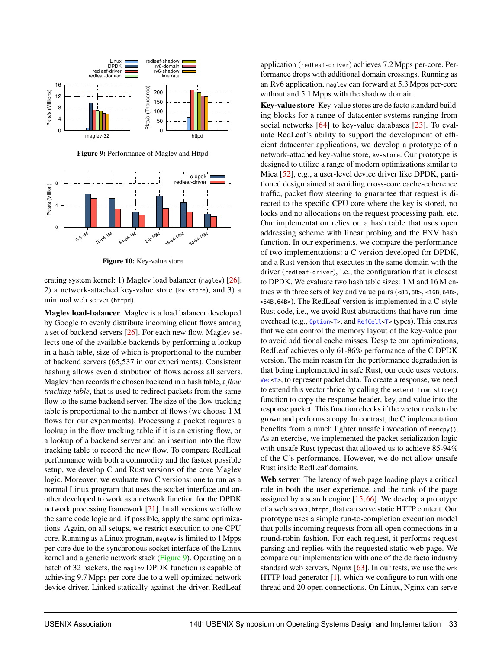<span id="page-13-0"></span>

Figure 9: Performance of Maglev and Httpd



Figure 10: Key-value store

erating system kernel: 1) Maglev load balancer (maglev) [\[26\]](#page-16-17), 2) a network-attached key-value store (kv-store), and 3) a minimal web server (httpd).

Maglev load-balancer Maglev is a load balancer developed by Google to evenly distribute incoming client flows among a set of backend servers [\[26\]](#page-16-17). For each new flow, Maglev selects one of the available backends by performing a lookup in a hash table, size of which is proportional to the number of backend servers (65,537 in our experiments). Consistent hashing allows even distribution of flows across all servers. Maglev then records the chosen backend in a hash table, a *flow tracking table*, that is used to redirect packets from the same flow to the same backend server. The size of the flow tracking table is proportional to the number of flows (we choose 1 M flows for our experiments). Processing a packet requires a lookup in the flow tracking table if it is an existing flow, or a lookup of a backend server and an insertion into the flow tracking table to record the new flow. To compare RedLeaf performance with both a commodity and the fastest possible setup, we develop C and Rust versions of the core Maglev logic. Moreover, we evaluate two C versions: one to run as a normal Linux program that uses the socket interface and another developed to work as a network function for the DPDK network processing framework [\[21\]](#page-15-10). In all versions we follow the same code logic and, if possible, apply the same optimizations. Again, on all setups, we restrict execution to one CPU core. Running as a Linux program, maglev is limited to 1 Mpps per-core due to the synchronous socket interface of the Linux kernel and a generic network stack [\(Figure 9\)](#page-13-0). Operating on a batch of 32 packets, the maglev DPDK function is capable of achieving 9.7 Mpps per-core due to a well-optimized network device driver. Linked statically against the driver, RedLeaf

application (redleaf-driver) achieves 7.2 Mpps per-core. Performance drops with additional domain crossings. Running as an Rv6 application, maglev can forward at 5.3 Mpps per-core without and 5.1 Mpps with the shadow domain.

Key-value store Key-value stores are de facto standard building blocks for a range of datacenter systems ranging from social networks [\[64\]](#page-18-19) to key-value databases [\[23\]](#page-16-18). To evaluate RedLeaf's ability to support the development of efficient datacenter applications, we develop a prototype of a network-attached key-value store, kv-store. Our prototype is designed to utilize a range of modern optimizations similar to Mica [\[52\]](#page-17-15), e.g., a user-level device driver like DPDK, partitioned design aimed at avoiding cross-core cache-coherence traffic, packet flow steering to guarantee that request is directed to the specific CPU core where the key is stored, no locks and no allocations on the request processing path, etc. Our implementation relies on a hash table that uses open addressing scheme with linear probing and the FNV hash function. In our experiments, we compare the performance of two implementations: a C version developed for DPDK, and a Rust version that executes in the same domain with the driver (redleaf-driver), i.e., the configuration that is closest to DPDK. We evaluate two hash table sizes: 1 M and 16 M entries with three sets of key and value pairs (<8B,8B>, <16B,64B>, <64B,64B>). The RedLeaf version is implemented in a C-style Rust code, i.e., we avoid Rust abstractions that have run-time overhead (e.g., Option<T>, and RefCell<T> types). This ensures that we can control the memory layout of the key-value pair to avoid additional cache misses. Despite our optimizations, RedLeaf achieves only 61-86% performance of the C DPDK version. The main reason for the performance degradation is that being implemented in safe Rust, our code uses vectors, Vec<T>, to represent packet data. To create a response, we need to extend this vector thrice by calling the extend\_from\_slice() function to copy the response header, key, and value into the response packet. This function checks if the vector needs to be grown and performs a copy. In contrast, the C implementation benefits from a much lighter unsafe invocation of memcpy(). As an exercise, we implemented the packet serialization logic with unsafe Rust typecast that allowed us to achieve 85-94% of the C's performance. However, we do not allow unsafe Rust inside RedLeaf domains.

Web server The latency of web page loading plays a critical role in both the user experience, and the rank of the page assigned by a search engine [\[15,](#page-15-19) [66\]](#page-18-20). We develop a prototype of a web server, httpd, that can serve static HTTP content. Our prototype uses a simple run-to-completion execution model that polls incoming requests from all open connections in a round-robin fashion. For each request, it performs request parsing and replies with the requested static web page. We compare our implementation with one of the de facto industry standard web servers, Nginx [\[63\]](#page-17-16). In our tests, we use the wrk HTTP load generator [\[1\]](#page-15-20), which we configure to run with one thread and 20 open connections. On Linux, Nginx can serve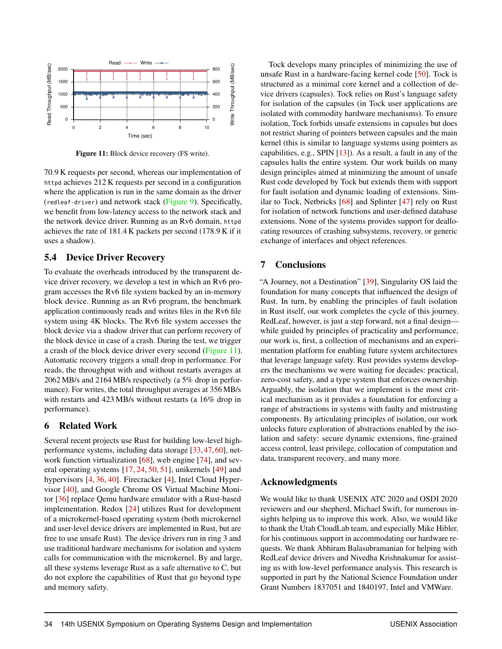<span id="page-14-0"></span>

Figure 11: Block device recovery (FS write).

70.9 K requests per second, whereas our implementation of httpd achieves 212 K requests per second in a configuration where the application is run in the same domain as the driver (redleaf-driver) and network stack [\(Figure 9\)](#page-13-0). Specifically, we benefit from low-latency access to the network stack and the network device driver. Running as an Rv6 domain, httpd achieves the rate of 181.4 K packets per second (178.9 K if it uses a shadow).

#### 5.4 Device Driver Recovery

To evaluate the overheads introduced by the transparent device driver recovery, we develop a test in which an Rv6 program accesses the Rv6 file system backed by an in-memory block device. Running as an Rv6 program, the benchmark application continuously reads and writes files in the Rv6 file system using 4K blocks. The Rv6 file system accesses the block device via a shadow driver that can perform recovery of the block device in case of a crash. During the test, we trigger a crash of the block device driver every second [\(Figure 11\)](#page-14-0). Automatic recovery triggers a small drop in performance. For reads, the throughput with and without restarts averages at 2062 MB/s and 2164 MB/s respectively (a 5% drop in performance). For writes, the total throughput averages at 356 MB/s with restarts and 423 MB/s without restarts (a 16% drop in performance).

#### 6 Related Work

Several recent projects use Rust for building low-level highperformance systems, including data storage [\[33,](#page-16-19) [47,](#page-17-1) [60\]](#page-17-17), network function virtualization [\[68\]](#page-18-12), web engine [\[74\]](#page-18-21), and several operating systems [\[17,](#page-15-21) [24,](#page-16-2) [50,](#page-17-2) [51\]](#page-17-18), unikernels [\[49\]](#page-17-19) and hypervisors [\[4,](#page-15-1) [36,](#page-16-20) [40\]](#page-16-3). Firecracker [\[4\]](#page-15-1), Intel Cloud Hypervisor [\[40\]](#page-16-3), and Google Chrome OS Virtual Machine Monitor [\[36\]](#page-16-20) replace Qemu hardware emulator with a Rust-based implementation. Redox [\[24\]](#page-16-2) utilizes Rust for development of a microkernel-based operating system (both microkernel and user-level device drivers are implemented in Rust, but are free to use unsafe Rust). The device drivers run in ring 3 and use traditional hardware mechanisms for isolation and system calls for communication with the microkernel. By and large, all these systems leverage Rust as a safe alternative to C, but do not explore the capabilities of Rust that go beyond type and memory safety.

Tock develops many principles of minimizing the use of unsafe Rust in a hardware-facing kernel code [\[50\]](#page-17-2). Tock is structured as a minimal core kernel and a collection of device drivers (capsules). Tock relies on Rust's language safety for isolation of the capsules (in Tock user applications are isolated with commodity hardware mechanisms). To ensure isolation, Tock forbids unsafe extensions in capsules but does not restrict sharing of pointers between capsules and the main kernel (this is similar to language systems using pointers as capabilities, e.g., SPIN [\[13\]](#page-15-4)). As a result, a fault in any of the capsules halts the entire system. Our work builds on many design principles aimed at minimizing the amount of unsafe Rust code developed by Tock but extends them with support for fault isolation and dynamic loading of extensions. Similar to Tock, Netbricks [\[68\]](#page-18-12) and Splinter [\[47\]](#page-17-1) rely on Rust for isolation of network functions and user-defined database extensions. None of the systems provides support for deallocating resources of crashing subsystems, recovery, or generic exchange of interfaces and object references.

## 7 Conclusions

"A Journey, not a Destination" [\[39\]](#page-16-5), Singularity OS laid the foundation for many concepts that influenced the design of Rust. In turn, by enabling the principles of fault isolation in Rust itself, our work completes the cycle of this journey. RedLeaf, however, is just a step forward, not a final design while guided by principles of practicality and performance, our work is, first, a collection of mechanisms and an experimentation platform for enabling future system architectures that leverage language safety. Rust provides systems developers the mechanisms we were waiting for decades: practical, zero-cost safety, and a type system that enforces ownership. Arguably, the isolation that we implement is the most critical mechanism as it provides a foundation for enforcing a range of abstractions in systems with faulty and mistrusting components. By articulating principles of isolation, our work unlocks future exploration of abstractions enabled by the isolation and safety: secure dynamic extensions, fine-grained access control, least privilege, collocation of computation and data, transparent recovery, and many more.

## Acknowledgments

We would like to thank USENIX ATC 2020 and OSDI 2020 reviewers and our shepherd, Michael Swift, for numerous insights helping us to improve this work. Also, we would like to thank the Utah CloudLab team, and especially Mike Hibler, for his continuous support in accommodating our hardware requests. We thank Abhiram Balasubramanian for helping with RedLeaf device drivers and Nivedha Krishnakumar for assisting us with low-level performance analysis. This research is supported in part by the National Science Foundation under Grant Numbers 1837051 and 1840197, Intel and VMWare.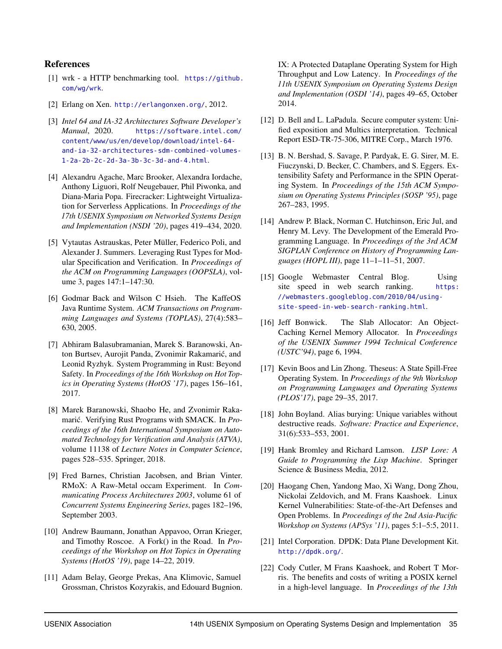#### References

- <span id="page-15-20"></span>[1] wrk - a HTTP benchmarking tool. [https://github.](https://github.com/wg/wrk) [com/wg/wrk](https://github.com/wg/wrk).
- <span id="page-15-11"></span>[2] Erlang on Xen. <http://erlangonxen.org/>, 2012.
- <span id="page-15-18"></span>[3] *Intel 64 and IA-32 Architectures Software Developer's Manual*, 2020. [https://software.intel.com/]( https://software.intel.com/content/www/us/en/develop/download/intel-64-and-ia-32-architectures-sdm-combined-volumes-1-2a-2b-2c-2d-3a-3b-3c-3d-and-4.html) [content/www/us/en/develop/download/intel-64]( https://software.intel.com/content/www/us/en/develop/download/intel-64-and-ia-32-architectures-sdm-combined-volumes-1-2a-2b-2c-2d-3a-3b-3c-3d-and-4.html) [and-ia-32-architectures-sdm-combined-volumes-]( https://software.intel.com/content/www/us/en/develop/download/intel-64-and-ia-32-architectures-sdm-combined-volumes-1-2a-2b-2c-2d-3a-3b-3c-3d-and-4.html)[1-2a-2b-2c-2d-3a-3b-3c-3d-and-4.html]( https://software.intel.com/content/www/us/en/develop/download/intel-64-and-ia-32-architectures-sdm-combined-volumes-1-2a-2b-2c-2d-3a-3b-3c-3d-and-4.html).
- <span id="page-15-1"></span>[4] Alexandru Agache, Marc Brooker, Alexandra Iordache, Anthony Liguori, Rolf Neugebauer, Phil Piwonka, and Diana-Maria Popa. Firecracker: Lightweight Virtualization for Serverless Applications. In *Proceedings of the 17th USENIX Symposium on Networked Systems Design and Implementation (NSDI '20)*, pages 419–434, 2020.
- <span id="page-15-13"></span>[5] Vytautas Astrauskas, Peter Müller, Federico Poli, and Alexander J. Summers. Leveraging Rust Types for Modular Specification and Verification. In *Proceedings of the ACM on Programming Languages (OOPSLA)*, volume 3, pages 147:1–147:30.
- <span id="page-15-5"></span>[6] Godmar Back and Wilson C Hsieh. The KaffeOS Java Runtime System. *ACM Transactions on Programming Languages and Systems (TOPLAS)*, 27(4):583– 630, 2005.
- <span id="page-15-16"></span>[7] Abhiram Balasubramanian, Marek S. Baranowski, Anton Burtsev, Aurojit Panda, Zvonimir Rakamaric, and ´ Leonid Ryzhyk. System Programming in Rust: Beyond Safety. In *Proceedings of the 16th Workshop on Hot Topics in Operating Systems (HotOS '17)*, pages 156–161, 2017.
- <span id="page-15-14"></span>[8] Marek Baranowski, Shaobo He, and Zvonimir Rakamarić. Verifying Rust Programs with SMACK. In *Proceedings of the 16th International Symposium on Automated Technology for Verification and Analysis (ATVA)*, volume 11138 of *Lecture Notes in Computer Science*, pages 528–535. Springer, 2018.
- <span id="page-15-6"></span>[9] Fred Barnes, Christian Jacobsen, and Brian Vinter. RMoX: A Raw-Metal occam Experiment. In *Communicating Process Architectures 2003*, volume 61 of *Concurrent Systems Engineering Series*, pages 182–196, September 2003.
- <span id="page-15-17"></span>[10] Andrew Baumann, Jonathan Appavoo, Orran Krieger, and Timothy Roscoe. A Fork() in the Road. In *Proceedings of the Workshop on Hot Topics in Operating Systems (HotOS '19)*, page 14–22, 2019.
- <span id="page-15-9"></span>[11] Adam Belay, George Prekas, Ana Klimovic, Samuel Grossman, Christos Kozyrakis, and Edouard Bugnion.

IX: A Protected Dataplane Operating System for High Throughput and Low Latency. In *Proceedings of the 11th USENIX Symposium on Operating Systems Design and Implementation (OSDI '14)*, pages 49–65, October 2014.

- <span id="page-15-0"></span>[12] D. Bell and L. LaPadula. Secure computer system: Unified exposition and Multics interpretation. Technical Report ESD-TR-75-306, MITRE Corp., March 1976.
- <span id="page-15-4"></span>[13] B. N. Bershad, S. Savage, P. Pardyak, E. G. Sirer, M. E. Fiuczynski, D. Becker, C. Chambers, and S. Eggers. Extensibility Safety and Performance in the SPIN Operating System. In *Proceedings of the 15th ACM Symposium on Operating Systems Principles (SOSP '95)*, page 267–283, 1995.
- <span id="page-15-7"></span>[14] Andrew P. Black, Norman C. Hutchinson, Eric Jul, and Henry M. Levy. The Development of the Emerald Programming Language. In *Proceedings of the 3rd ACM SIGPLAN Conference on History of Programming Languages (HOPL III)*, page 11–1–11–51, 2007.
- <span id="page-15-19"></span>[15] Google Webmaster Central Blog. Using site speed in web search ranking. [https:](https://webmasters.googleblog.com/2010/04/using-site-speed-in-web-search-ranking.html) [//webmasters.googleblog.com/2010/04/using](https://webmasters.googleblog.com/2010/04/using-site-speed-in-web-search-ranking.html)[site-speed-in-web-search-ranking.html](https://webmasters.googleblog.com/2010/04/using-site-speed-in-web-search-ranking.html).
- <span id="page-15-15"></span>[16] Jeff Bonwick. The Slab Allocator: An Object-Caching Kernel Memory Allocator. In *Proceedings of the USENIX Summer 1994 Technical Conference (USTC'94)*, page 6, 1994.
- <span id="page-15-21"></span>[17] Kevin Boos and Lin Zhong. Theseus: A State Spill-Free Operating System. In *Proceedings of the 9th Workshop on Programming Languages and Operating Systems (PLOS'17)*, page 29–35, 2017.
- <span id="page-15-12"></span>[18] John Boyland. Alias burying: Unique variables without destructive reads. *Software: Practice and Experience*, 31(6):533–553, 2001.
- <span id="page-15-8"></span>[19] Hank Bromley and Richard Lamson. *LISP Lore: A Guide to Programming the Lisp Machine*. Springer Science & Business Media, 2012.
- <span id="page-15-2"></span>[20] Haogang Chen, Yandong Mao, Xi Wang, Dong Zhou, Nickolai Zeldovich, and M. Frans Kaashoek. Linux Kernel Vulnerabilities: State-of-the-Art Defenses and Open Problems. In *Proceedings of the 2nd Asia-Pacific Workshop on Systems (APSys '11)*, pages 5:1–5:5, 2011.
- <span id="page-15-10"></span>[21] Intel Corporation. DPDK: Data Plane Development Kit. <http://dpdk.org/>.
- <span id="page-15-3"></span>[22] Cody Cutler, M Frans Kaashoek, and Robert T Morris. The benefits and costs of writing a POSIX kernel in a high-level language. In *Proceedings of the 13th*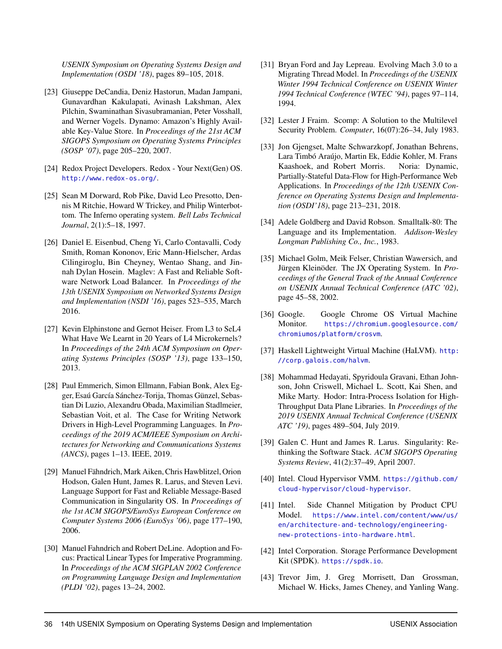*USENIX Symposium on Operating Systems Design and Implementation (OSDI '18)*, pages 89–105, 2018.

- <span id="page-16-18"></span>[23] Giuseppe DeCandia, Deniz Hastorun, Madan Jampani, Gunavardhan Kakulapati, Avinash Lakshman, Alex Pilchin, Swaminathan Sivasubramanian, Peter Vosshall, and Werner Vogels. Dynamo: Amazon's Highly Available Key-Value Store. In *Proceedings of the 21st ACM SIGOPS Symposium on Operating Systems Principles (SOSP '07)*, page 205–220, 2007.
- <span id="page-16-2"></span>[24] Redox Project Developers. Redox - Your Next(Gen) OS. <http://www.redox-os.org/>.
- <span id="page-16-6"></span>[25] Sean M Dorward, Rob Pike, David Leo Presotto, Dennis M Ritchie, Howard W Trickey, and Philip Winterbottom. The Inferno operating system. *Bell Labs Technical Journal*, 2(1):5–18, 1997.
- <span id="page-16-17"></span>[26] Daniel E. Eisenbud, Cheng Yi, Carlo Contavalli, Cody Smith, Roman Kononov, Eric Mann-Hielscher, Ardas Cilingiroglu, Bin Cheyney, Wentao Shang, and Jinnah Dylan Hosein. Maglev: A Fast and Reliable Software Network Load Balancer. In *Proceedings of the 13th USENIX Symposium on Networked Systems Design and Implementation (NSDI '16)*, pages 523–535, March 2016.
- <span id="page-16-15"></span>[27] Kevin Elphinstone and Gernot Heiser. From L3 to SeL4 What Have We Learnt in 20 Years of L4 Microkernels? In *Proceedings of the 24th ACM Symposium on Operating Systems Principles (SOSP '13)*, page 133–150, 2013.
- <span id="page-16-1"></span>[28] Paul Emmerich, Simon Ellmann, Fabian Bonk, Alex Egger, Esaú García Sánchez-Torija, Thomas Günzel, Sebastian Di Luzio, Alexandru Obada, Maximilian Stadlmeier, Sebastian Voit, et al. The Case for Writing Network Drivers in High-Level Programming Languages. In *Proceedings of the 2019 ACM/IEEE Symposium on Architectures for Networking and Communications Systems (ANCS)*, pages 1–13. IEEE, 2019.
- <span id="page-16-10"></span>[29] Manuel Fähndrich, Mark Aiken, Chris Hawblitzel, Orion Hodson, Galen Hunt, James R. Larus, and Steven Levi. Language Support for Fast and Reliable Message-Based Communication in Singularity OS. In *Proceedings of the 1st ACM SIGOPS/EuroSys European Conference on Computer Systems 2006 (EuroSys '06)*, page 177–190, 2006.
- <span id="page-16-11"></span>[30] Manuel Fahndrich and Robert DeLine. Adoption and Focus: Practical Linear Types for Imperative Programming. In *Proceedings of the ACM SIGPLAN 2002 Conference on Programming Language Design and Implementation (PLDI '02)*, pages 13–24, 2002.
- <span id="page-16-13"></span>[31] Bryan Ford and Jay Lepreau. Evolving Mach 3.0 to a Migrating Thread Model. In *Proceedings of the USENIX Winter 1994 Technical Conference on USENIX Winter 1994 Technical Conference (WTEC '94)*, pages 97–114, 1994.
- <span id="page-16-0"></span>[32] Lester J Fraim. Scomp: A Solution to the Multilevel Security Problem. *Computer*, 16(07):26–34, July 1983.
- <span id="page-16-19"></span>[33] Jon Gjengset, Malte Schwarzkopf, Jonathan Behrens, Lara Timbó Araújo, Martin Ek, Eddie Kohler, M. Frans Kaashoek, and Robert Morris. Noria: Dynamic, Partially-Stateful Data-Flow for High-Performance Web Applications. In *Proceedings of the 12th USENIX Conference on Operating Systems Design and Implementation (OSDI'18)*, page 213–231, 2018.
- <span id="page-16-7"></span>[34] Adele Goldberg and David Robson. Smalltalk-80: The Language and its Implementation. *Addison-Wesley Longman Publishing Co., Inc.*, 1983.
- <span id="page-16-4"></span>[35] Michael Golm, Meik Felser, Christian Wawersich, and Jürgen Kleinöder. The JX Operating System. In *Proceedings of the General Track of the Annual Conference on USENIX Annual Technical Conference (ATC '02)*, page 45–58, 2002.
- <span id="page-16-20"></span>[36] Google. Google Chrome OS Virtual Machine Monitor. [https://chromium.googlesource.com/](https://chromium.googlesource.com/chromiumos/platform/crosvm) [chromiumos/platform/crosvm](https://chromium.googlesource.com/chromiumos/platform/crosvm).
- <span id="page-16-9"></span>[37] Haskell Lightweight Virtual Machine (HaLVM). [http:](http://corp.galois.com/halvm) [//corp.galois.com/halvm](http://corp.galois.com/halvm).
- <span id="page-16-16"></span>[38] Mohammad Hedayati, Spyridoula Gravani, Ethan Johnson, John Criswell, Michael L. Scott, Kai Shen, and Mike Marty. Hodor: Intra-Process Isolation for High-Throughput Data Plane Libraries. In *Proceedings of the 2019 USENIX Annual Technical Conference (USENIX ATC '19)*, pages 489–504, July 2019.
- <span id="page-16-5"></span>[39] Galen C. Hunt and James R. Larus. Singularity: Rethinking the Software Stack. *ACM SIGOPS Operating Systems Review*, 41(2):37–49, April 2007.
- <span id="page-16-3"></span>[40] Intel. Cloud Hypervisor VMM. [https://github.com/](https://github.com/cloud-hypervisor/cloud-hypervisor) [cloud-hypervisor/cloud-hypervisor](https://github.com/cloud-hypervisor/cloud-hypervisor).
- <span id="page-16-14"></span>[41] Intel. Side Channel Mitigation by Product CPU Model. [https://www.intel.com/content/www/us/](https://www.intel.com/content/www/us/en/architecture-and-technology/engineering-new-protections-into-hardware.html) [en/architecture-and-technology/engineering](https://www.intel.com/content/www/us/en/architecture-and-technology/engineering-new-protections-into-hardware.html)[new-protections-into-hardware.html](https://www.intel.com/content/www/us/en/architecture-and-technology/engineering-new-protections-into-hardware.html).
- <span id="page-16-8"></span>[42] Intel Corporation. Storage Performance Development Kit (SPDK). <https://spdk.io>.
- <span id="page-16-12"></span>[43] Trevor Jim, J. Greg Morrisett, Dan Grossman, Michael W. Hicks, James Cheney, and Yanling Wang.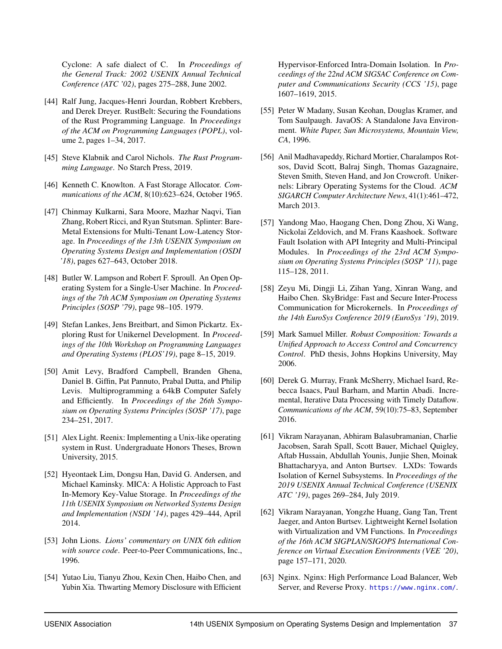Cyclone: A safe dialect of C. In *Proceedings of the General Track: 2002 USENIX Annual Technical Conference (ATC '02)*, pages 275–288, June 2002.

- <span id="page-17-11"></span>[44] Ralf Jung, Jacques-Henri Jourdan, Robbert Krebbers, and Derek Dreyer. RustBelt: Securing the Foundations of the Rust Programming Language. In *Proceedings of the ACM on Programming Languages (POPL)*, volume 2, pages 1–34, 2017.
- <span id="page-17-0"></span>[45] Steve Klabnik and Carol Nichols. *The Rust Programming Language*. No Starch Press, 2019.
- <span id="page-17-12"></span>[46] Kenneth C. Knowlton. A Fast Storage Allocator. *Communications of the ACM*, 8(10):623–624, October 1965.
- <span id="page-17-1"></span>[47] Chinmay Kulkarni, Sara Moore, Mazhar Naqvi, Tian Zhang, Robert Ricci, and Ryan Stutsman. Splinter: Bare-Metal Extensions for Multi-Tenant Low-Latency Storage. In *Proceedings of the 13th USENIX Symposium on Operating Systems Design and Implementation (OSDI '18)*, pages 627–643, October 2018.
- <span id="page-17-9"></span>[48] Butler W. Lampson and Robert F. Sproull. An Open Operating System for a Single-User Machine. In *Proceedings of the 7th ACM Symposium on Operating Systems Principles (SOSP '79)*, page 98–105. 1979.
- <span id="page-17-19"></span>[49] Stefan Lankes, Jens Breitbart, and Simon Pickartz. Exploring Rust for Unikernel Development. In *Proceedings of the 10th Workshop on Programming Languages and Operating Systems (PLOS'19)*, page 8–15, 2019.
- <span id="page-17-2"></span>[50] Amit Levy, Bradford Campbell, Branden Ghena, Daniel B. Giffin, Pat Pannuto, Prabal Dutta, and Philip Levis. Multiprogramming a 64kB Computer Safely and Efficiently. In *Proceedings of the 26th Symposium on Operating Systems Principles (SOSP '17)*, page 234–251, 2017.
- <span id="page-17-18"></span>[51] Alex Light. Reenix: Implementing a Unix-like operating system in Rust. Undergraduate Honors Theses, Brown University, 2015.
- <span id="page-17-15"></span>[52] Hyeontaek Lim, Dongsu Han, David G. Andersen, and Michael Kaminsky. MICA: A Holistic Approach to Fast In-Memory Key-Value Storage. In *Proceedings of the 11th USENIX Symposium on Networked Systems Design and Implementation (NSDI '14)*, pages 429–444, April 2014.
- <span id="page-17-5"></span>[53] John Lions. *Lions' commentary on UNIX 6th edition with source code*. Peer-to-Peer Communications, Inc., 1996.
- <span id="page-17-14"></span>[54] Yutao Liu, Tianyu Zhou, Kexin Chen, Haibo Chen, and Yubin Xia. Thwarting Memory Disclosure with Efficient

Hypervisor-Enforced Intra-Domain Isolation. In *Proceedings of the 22nd ACM SIGSAC Conference on Computer and Communications Security (CCS '15)*, page 1607–1619, 2015.

- <span id="page-17-4"></span>[55] Peter W Madany, Susan Keohan, Douglas Kramer, and Tom Saulpaugh. JavaOS: A Standalone Java Environment. *White Paper, Sun Microsystems, Mountain View, CA*, 1996.
- <span id="page-17-10"></span>[56] Anil Madhavapeddy, Richard Mortier, Charalampos Rotsos, David Scott, Balraj Singh, Thomas Gazagnaire, Steven Smith, Steven Hand, and Jon Crowcroft. Unikernels: Library Operating Systems for the Cloud. *ACM SIGARCH Computer Architecture News*, 41(1):461–472, March 2013.
- <span id="page-17-6"></span>[57] Yandong Mao, Haogang Chen, Dong Zhou, Xi Wang, Nickolai Zeldovich, and M. Frans Kaashoek. Software Fault Isolation with API Integrity and Multi-Principal Modules. In *Proceedings of the 23rd ACM Symposium on Operating Systems Principles (SOSP '11)*, page 115–128, 2011.
- <span id="page-17-13"></span>[58] Zeyu Mi, Dingji Li, Zihan Yang, Xinran Wang, and Haibo Chen. SkyBridge: Fast and Secure Inter-Process Communication for Microkernels. In *Proceedings of the 14th EuroSys Conference 2019 (EuroSys '19)*, 2019.
- <span id="page-17-3"></span>[59] Mark Samuel Miller. *Robust Composition: Towards a Unified Approach to Access Control and Concurrency Control*. PhD thesis, Johns Hopkins University, May 2006.
- <span id="page-17-17"></span>[60] Derek G. Murray, Frank McSherry, Michael Isard, Rebecca Isaacs, Paul Barham, and Martin Abadi. Incremental, Iterative Data Processing with Timely Dataflow. *Communications of the ACM*, 59(10):75–83, September 2016.
- <span id="page-17-7"></span>[61] Vikram Narayanan, Abhiram Balasubramanian, Charlie Jacobsen, Sarah Spall, Scott Bauer, Michael Quigley, Aftab Hussain, Abdullah Younis, Junjie Shen, Moinak Bhattacharyya, and Anton Burtsev. LXDs: Towards Isolation of Kernel Subsystems. In *Proceedings of the 2019 USENIX Annual Technical Conference (USENIX ATC '19)*, pages 269–284, July 2019.
- <span id="page-17-8"></span>[62] Vikram Narayanan, Yongzhe Huang, Gang Tan, Trent Jaeger, and Anton Burtsev. Lightweight Kernel Isolation with Virtualization and VM Functions. In *Proceedings of the 16th ACM SIGPLAN/SIGOPS International Conference on Virtual Execution Environments (VEE '20)*, page 157–171, 2020.
- <span id="page-17-16"></span>[63] Nginx. Nginx: High Performance Load Balancer, Web Server, and Reverse Proxy. <https://www.nginx.com/>.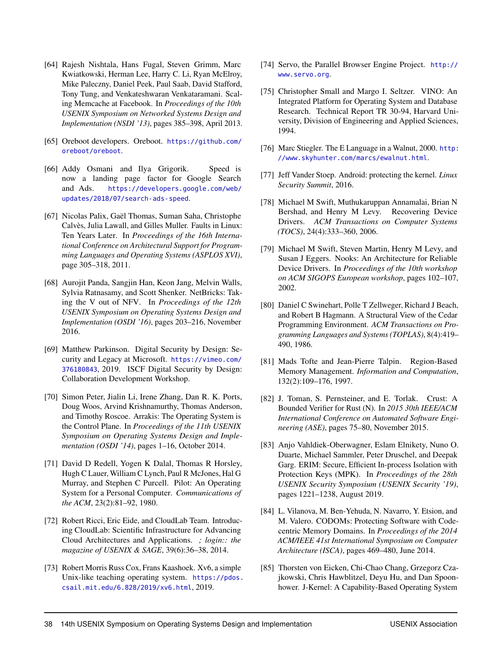- <span id="page-18-19"></span>[64] Rajesh Nishtala, Hans Fugal, Steven Grimm, Marc Kwiatkowski, Herman Lee, Harry C. Li, Ryan McElroy, Mike Paleczny, Daniel Peek, Paul Saab, David Stafford, Tony Tung, and Venkateshwaran Venkataramani. Scaling Memcache at Facebook. In *Proceedings of the 10th USENIX Symposium on Networked Systems Design and Implementation (NSDI '13)*, pages 385–398, April 2013.
- <span id="page-18-1"></span>[65] Oreboot developers. Oreboot. [https://github.com/](https://github.com/oreboot/oreboot) [oreboot/oreboot](https://github.com/oreboot/oreboot).
- <span id="page-18-20"></span>[66] Addy Osmani and Ilya Grigorik. Speed is now a landing page factor for Google Search and Ads. [https://developers.google.com/web/](https://developers.google.com/web/updates/2018/07/search-ads-speed) [updates/2018/07/search-ads-speed](https://developers.google.com/web/updates/2018/07/search-ads-speed).
- <span id="page-18-2"></span>[67] Nicolas Palix, Gaël Thomas, Suman Saha, Christophe Calvès, Julia Lawall, and Gilles Muller. Faults in Linux: Ten Years Later. In *Proceedings of the 16th International Conference on Architectural Support for Programming Languages and Operating Systems (ASPLOS XVI)*, page 305–318, 2011.
- <span id="page-18-12"></span>[68] Aurojit Panda, Sangjin Han, Keon Jang, Melvin Walls, Sylvia Ratnasamy, and Scott Shenker. NetBricks: Taking the V out of NFV. In *Proceedings of the 12th USENIX Symposium on Operating Systems Design and Implementation (OSDI '16)*, pages 203–216, November 2016.
- <span id="page-18-3"></span>[69] Matthew Parkinson. Digital Security by Design: Security and Legacy at Microsoft. [https://vimeo.com/](https://vimeo.com/376180843) [376180843](https://vimeo.com/376180843), 2019. ISCF Digital Security by Design: Collaboration Development Workshop.
- <span id="page-18-13"></span>[70] Simon Peter, Jialin Li, Irene Zhang, Dan R. K. Ports, Doug Woos, Arvind Krishnamurthy, Thomas Anderson, and Timothy Roscoe. Arrakis: The Operating System is the Control Plane. In *Proceedings of the 11th USENIX Symposium on Operating Systems Design and Implementation (OSDI '14)*, pages 1–16, October 2014.
- <span id="page-18-10"></span>[71] David D Redell, Yogen K Dalal, Thomas R Horsley, Hugh C Lauer, William C Lynch, Paul R McJones, Hal G Murray, and Stephen C Purcell. Pilot: An Operating System for a Personal Computer. *Communications of the ACM*, 23(2):81–92, 1980.
- <span id="page-18-17"></span>[72] Robert Ricci, Eric Eide, and CloudLab Team. Introducing CloudLab: Scientific Infrastructure for Advancing Cloud Architectures and Applications. *; login:: the magazine of USENIX & SAGE*, 39(6):36–38, 2014.
- <span id="page-18-16"></span>[73] Robert Morris Russ Cox, Frans Kaashoek. Xv6, a simple Unix-like teaching operating system. [https://pdos.](https://pdos.csail.mit.edu/6.828/2019/xv6.html) [csail.mit.edu/6.828/2019/xv6.html](https://pdos.csail.mit.edu/6.828/2019/xv6.html), 2019.
- <span id="page-18-21"></span>[74] Servo, the Parallel Browser Engine Project. [http://](http://www.servo.org) [www.servo.org](http://www.servo.org).
- <span id="page-18-7"></span>[75] Christopher Small and Margo I. Seltzer. VINO: An Integrated Platform for Operating System and Database Research. Technical Report TR 30-94, Harvard University, Division of Engineering and Applied Sciences, 1994.
- <span id="page-18-8"></span>[76] Marc Stiegler. The E Language in a Walnut, 2000. [http:](http://www.skyhunter.com/marcs/ewalnut.html) [//www.skyhunter.com/marcs/ewalnut.html](http://www.skyhunter.com/marcs/ewalnut.html).
- <span id="page-18-4"></span>[77] Jeff Vander Stoep. Android: protecting the kernel. *Linux Security Summit*, 2016.
- <span id="page-18-6"></span>[78] Michael M Swift, Muthukaruppan Annamalai, Brian N Bershad, and Henry M Levy. Recovering Device Drivers. *ACM Transactions on Computer Systems (TOCS)*, 24(4):333–360, 2006.
- <span id="page-18-5"></span>[79] Michael M Swift, Steven Martin, Henry M Levy, and Susan J Eggers. Nooks: An Architecture for Reliable Device Drivers. In *Proceedings of the 10th workshop on ACM SIGOPS European workshop*, pages 102–107, 2002.
- <span id="page-18-11"></span>[80] Daniel C Swinehart, Polle T Zellweger, Richard J Beach, and Robert B Hagmann. A Structural View of the Cedar Programming Environment. *ACM Transactions on Programming Languages and Systems (TOPLAS)*, 8(4):419– 490, 1986.
- <span id="page-18-14"></span>[81] Mads Tofte and Jean-Pierre Talpin. Region-Based Memory Management. *Information and Computation*, 132(2):109–176, 1997.
- <span id="page-18-15"></span>[82] J. Toman, S. Pernsteiner, and E. Torlak. Crust: A Bounded Verifier for Rust (N). In *2015 30th IEEE/ACM International Conference on Automated Software Engineering (ASE)*, pages 75–80, November 2015.
- <span id="page-18-18"></span>[83] Anjo Vahldiek-Oberwagner, Eslam Elnikety, Nuno O. Duarte, Michael Sammler, Peter Druschel, and Deepak Garg. ERIM: Secure, Efficient In-process Isolation with Protection Keys (MPK). In *Proceedings of the 28th USENIX Security Symposium (USENIX Security '19)*, pages 1221–1238, August 2019.
- <span id="page-18-0"></span>[84] L. Vilanova, M. Ben-Yehuda, N. Navarro, Y. Etsion, and M. Valero. CODOMs: Protecting Software with Codecentric Memory Domains. In *Proceedings of the 2014 ACM/IEEE 41st International Symposium on Computer Architecture (ISCA)*, pages 469–480, June 2014.
- <span id="page-18-9"></span>[85] Thorsten von Eicken, Chi-Chao Chang, Grzegorz Czajkowski, Chris Hawblitzel, Deyu Hu, and Dan Spoonhower. J-Kernel: A Capability-Based Operating System